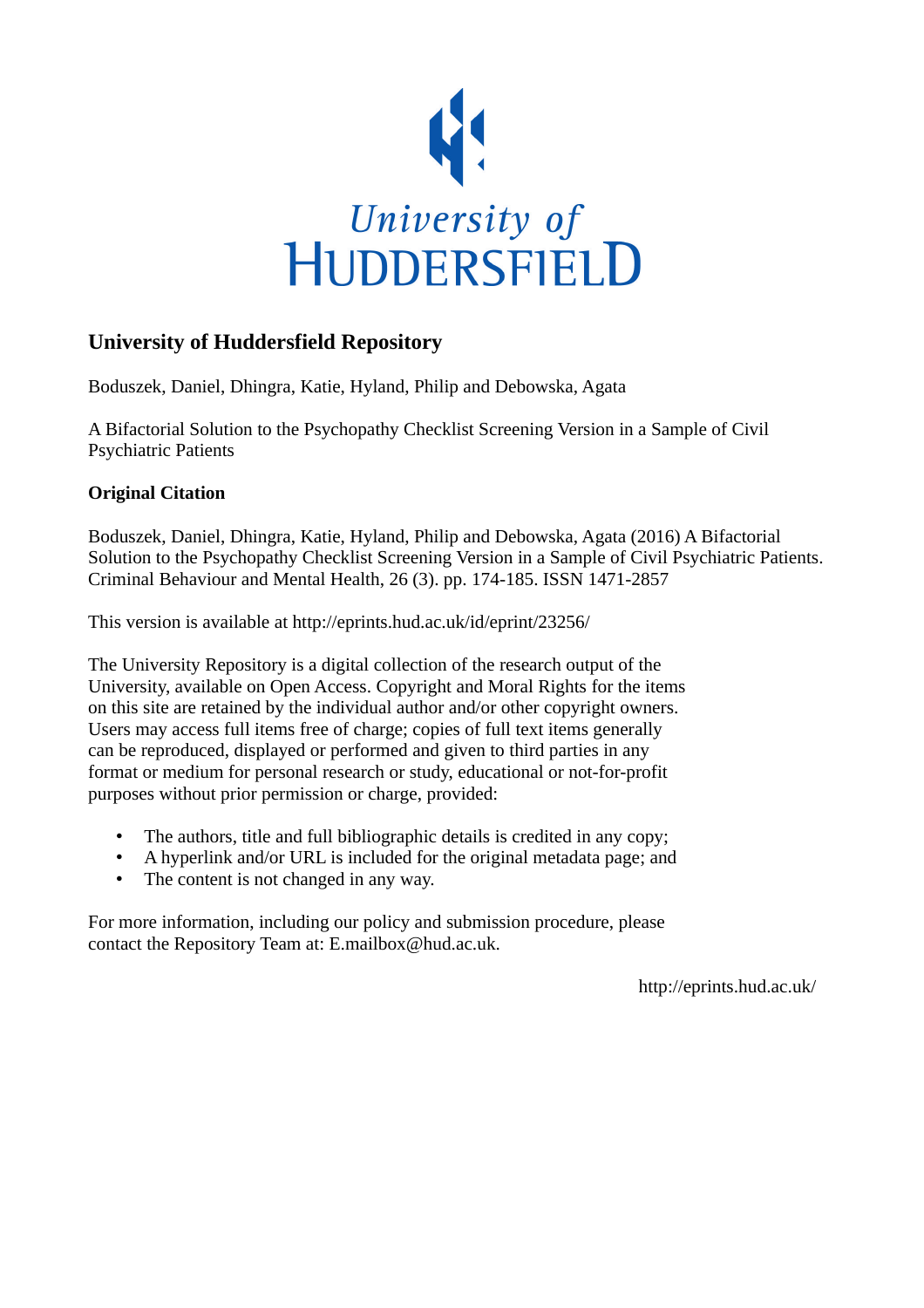

## **University of Huddersfield Repository**

Boduszek, Daniel, Dhingra, Katie, Hyland, Philip and Debowska, Agata

A Bifactorial Solution to the Psychopathy Checklist Screening Version in a Sample of Civil Psychiatric Patients

## **Original Citation**

Boduszek, Daniel, Dhingra, Katie, Hyland, Philip and Debowska, Agata (2016) A Bifactorial Solution to the Psychopathy Checklist Screening Version in a Sample of Civil Psychiatric Patients. Criminal Behaviour and Mental Health, 26 (3). pp. 174-185. ISSN 1471-2857

This version is available at http://eprints.hud.ac.uk/id/eprint/23256/

The University Repository is a digital collection of the research output of the University, available on Open Access. Copyright and Moral Rights for the items on this site are retained by the individual author and/or other copyright owners. Users may access full items free of charge; copies of full text items generally can be reproduced, displayed or performed and given to third parties in any format or medium for personal research or study, educational or not-for-profit purposes without prior permission or charge, provided:

- The authors, title and full bibliographic details is credited in any copy;
- A hyperlink and/or URL is included for the original metadata page; and
- The content is not changed in any way.

For more information, including our policy and submission procedure, please contact the Repository Team at: E.mailbox@hud.ac.uk.

http://eprints.hud.ac.uk/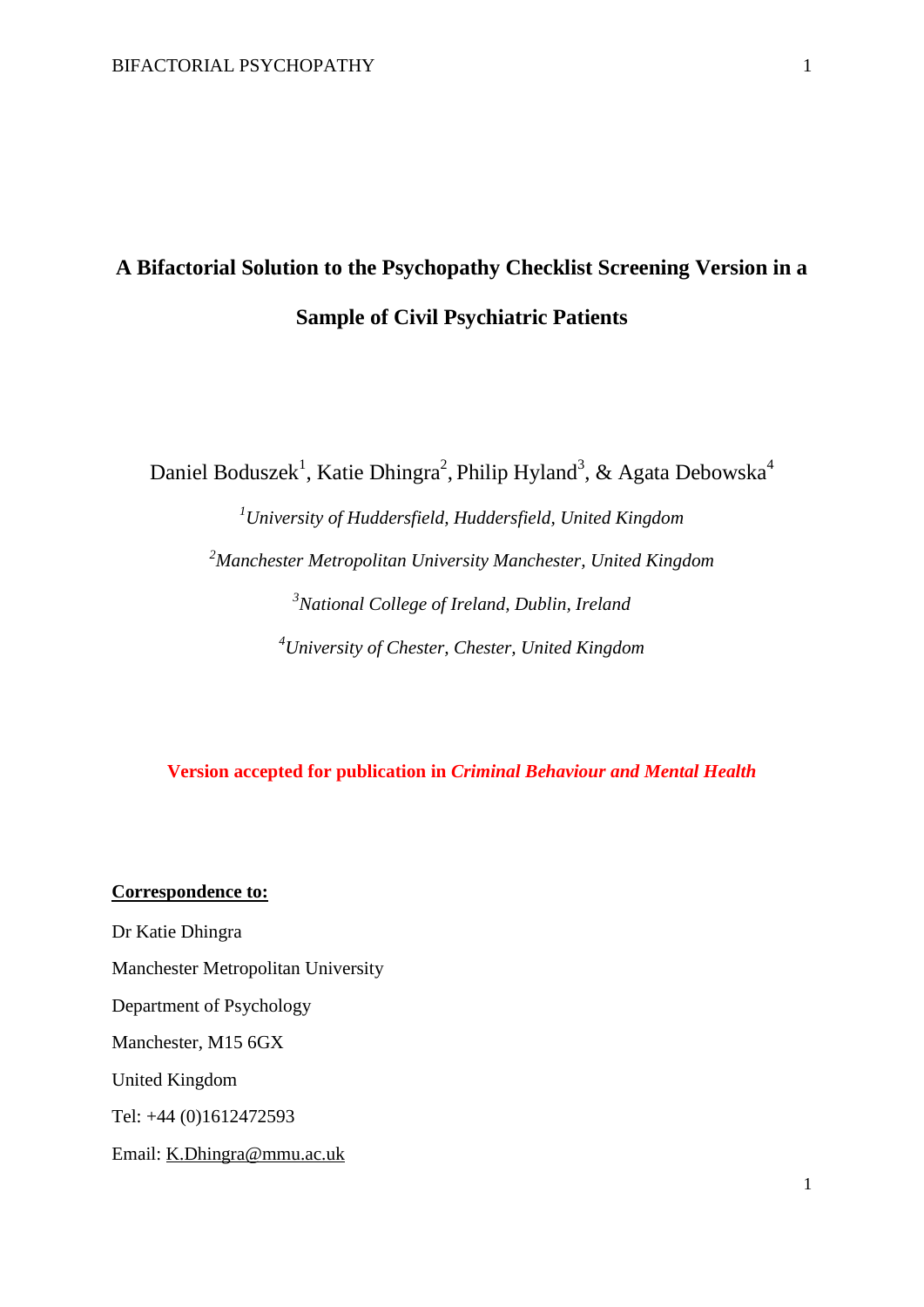# **A Bifactorial Solution to the Psychopathy Checklist Screening Version in a Sample of Civil Psychiatric Patients**

Daniel Boduszek<sup>1</sup>, Katie Dhingra<sup>2</sup>, Philip Hyland<sup>3</sup>, & Agata Debowska<sup>4</sup>

*University of Huddersfield, Huddersfield, United Kingdom Manchester Metropolitan University Manchester, United Kingdom National College of Ireland, Dublin, Ireland University of Chester, Chester, United Kingdom*

**Version accepted for publication in** *Criminal Behaviour and Mental Health*

#### **Correspondence to:**

Dr Katie Dhingra Manchester Metropolitan University Department of Psychology Manchester, M15 6GX United Kingdom Tel: +44 (0)1612472593 Email: [K.Dhingra@mmu.ac.uk](mailto:K.Dhingra@mmu.ac.uk)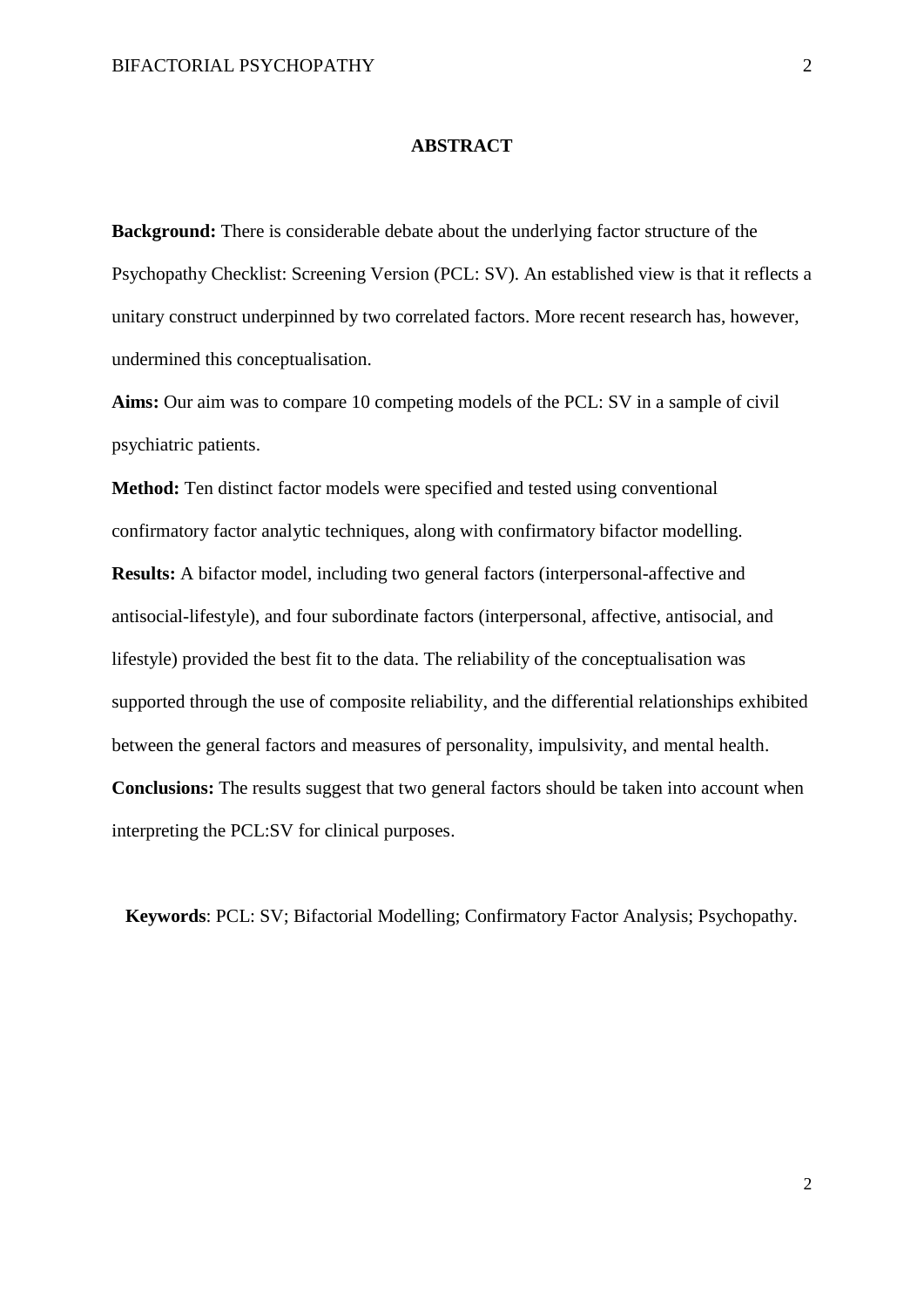#### **ABSTRACT**

**Background:** There is considerable debate about the underlying factor structure of the Psychopathy Checklist: Screening Version (PCL: SV). An established view is that it reflects a unitary construct underpinned by two correlated factors. More recent research has, however, undermined this conceptualisation.

**Aims:** Our aim was to compare 10 competing models of the PCL: SV in a sample of civil psychiatric patients.

**Method:** Ten distinct factor models were specified and tested using conventional confirmatory factor analytic techniques, along with confirmatory bifactor modelling. **Results:** A bifactor model, including two general factors (interpersonal-affective and antisocial-lifestyle), and four subordinate factors (interpersonal, affective, antisocial, and lifestyle) provided the best fit to the data. The reliability of the conceptualisation was supported through the use of composite reliability, and the differential relationships exhibited between the general factors and measures of personality, impulsivity, and mental health. **Conclusions:** The results suggest that two general factors should be taken into account when interpreting the PCL:SV for clinical purposes.

**Keywords**: PCL: SV; Bifactorial Modelling; Confirmatory Factor Analysis; Psychopathy.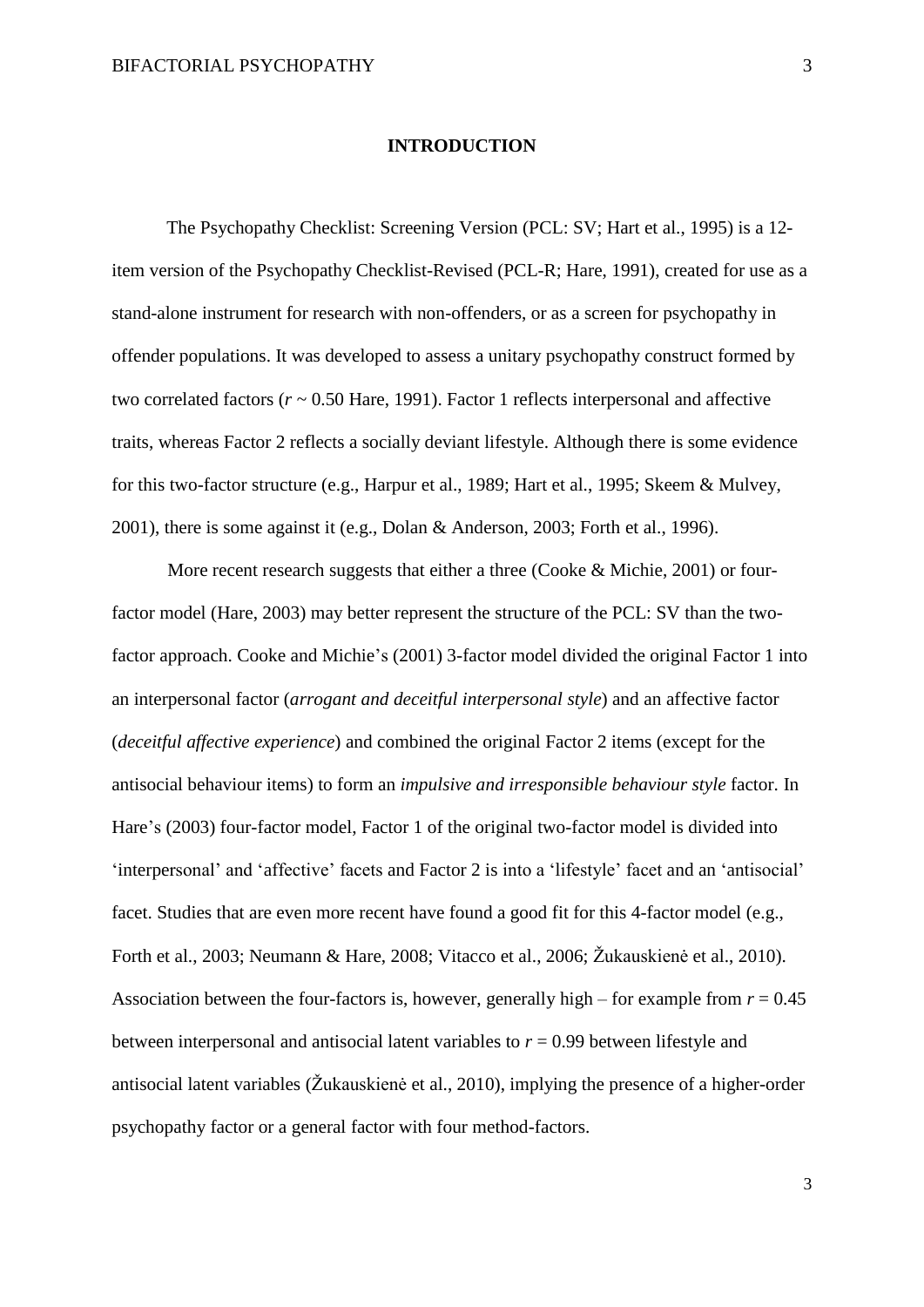#### **INTRODUCTION**

The Psychopathy Checklist: Screening Version (PCL: SV; Hart et al., 1995) is a 12 item version of the Psychopathy Checklist-Revised (PCL-R; Hare, 1991), created for use as a stand-alone instrument for research with non-offenders, or as a screen for psychopathy in offender populations. It was developed to assess a unitary psychopathy construct formed by two correlated factors  $(r \sim 0.50$  Hare, 1991). Factor 1 reflects interpersonal and affective traits, whereas Factor 2 reflects a socially deviant lifestyle. Although there is some evidence for this two-factor structure (e.g., Harpur et al., 1989; Hart et al., 1995; Skeem & Mulvey, 2001), there is some against it (e.g., Dolan & Anderson, 2003; Forth et al., 1996).

More recent research suggests that either a three (Cooke & Michie, 2001) or fourfactor model (Hare, 2003) may better represent the structure of the PCL: SV than the twofactor approach. Cooke and Michie's (2001) 3-factor model divided the original Factor 1 into an interpersonal factor (*arrogant and deceitful interpersonal style*) and an affective factor (*deceitful affective experience*) and combined the original Factor 2 items (except for the antisocial behaviour items) to form an *impulsive and irresponsible behaviour style* factor. In Hare's (2003) four-factor model, Factor 1 of the original two-factor model is divided into 'interpersonal' and 'affective' facets and Factor 2 is into a 'lifestyle' facet and an 'antisocial' facet. Studies that are even more recent have found a good fit for this 4-factor model (e.g., Forth et al., 2003; Neumann & Hare, 2008; Vitacco et al., 2006; Žukauskienė et al., 2010). Association between the four-factors is, however, generally high – for example from  $r = 0.45$ between interpersonal and antisocial latent variables to  $r = 0.99$  between lifestyle and antisocial latent variables (Žukauskienė et al., 2010), implying the presence of a higher-order psychopathy factor or a general factor with four method-factors.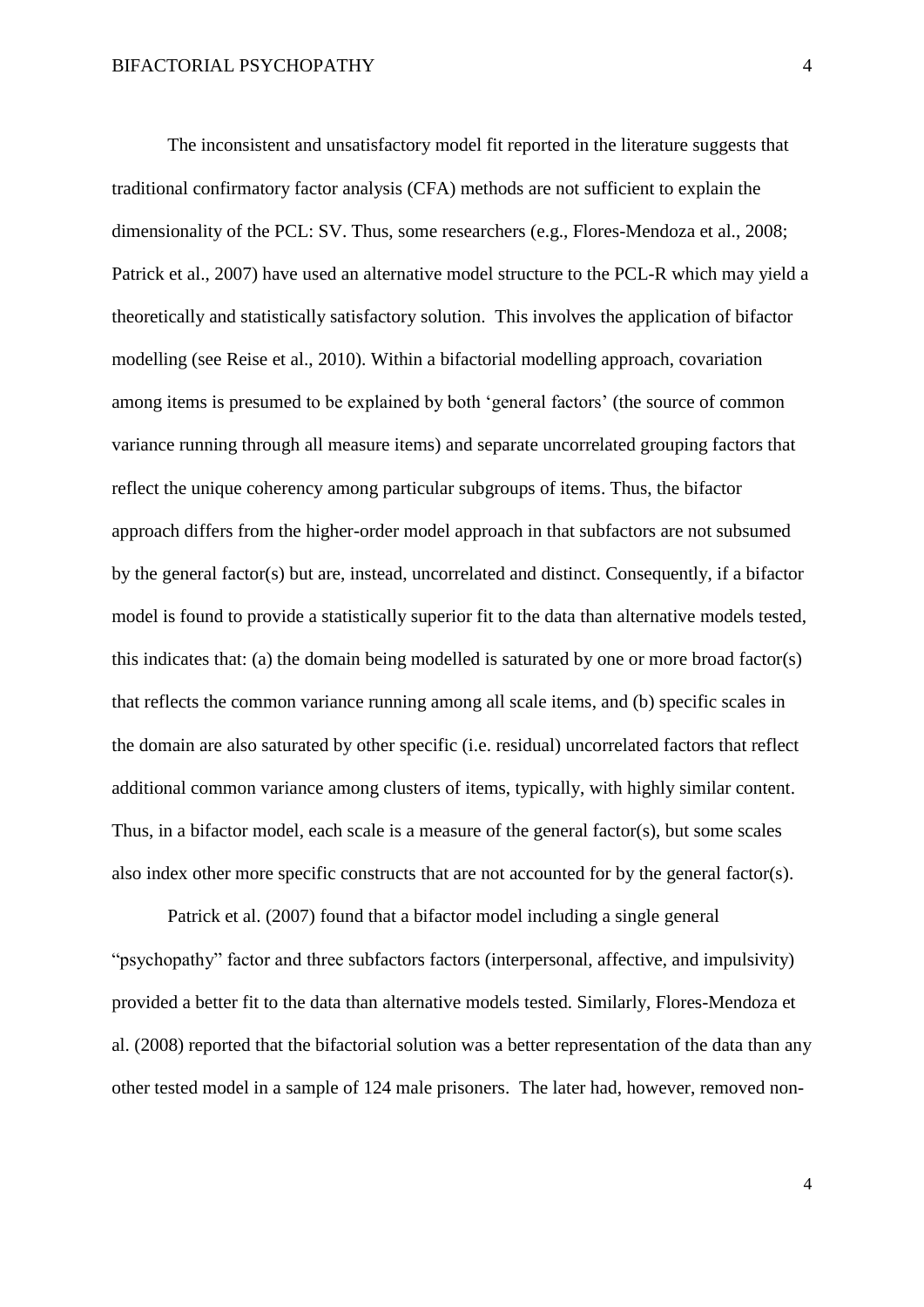The inconsistent and unsatisfactory model fit reported in the literature suggests that traditional confirmatory factor analysis (CFA) methods are not sufficient to explain the dimensionality of the PCL: SV. Thus, some researchers (e.g., Flores-Mendoza et al., 2008; Patrick et al., 2007) have used an alternative model structure to the PCL-R which may yield a theoretically and statistically satisfactory solution. This involves the application of bifactor modelling (see Reise et al., 2010). Within a bifactorial modelling approach, covariation among items is presumed to be explained by both 'general factors' (the source of common variance running through all measure items) and separate uncorrelated grouping factors that reflect the unique coherency among particular subgroups of items. Thus, the bifactor approach differs from the higher-order model approach in that subfactors are not subsumed by the general factor(s) but are, instead, uncorrelated and distinct. Consequently, if a bifactor model is found to provide a statistically superior fit to the data than alternative models tested, this indicates that: (a) the domain being modelled is saturated by one or more broad factor(s) that reflects the common variance running among all scale items, and (b) specific scales in the domain are also saturated by other specific (i.e. residual) uncorrelated factors that reflect additional common variance among clusters of items, typically, with highly similar content. Thus, in a bifactor model, each scale is a measure of the general factor(s), but some scales also index other more specific constructs that are not accounted for by the general factor(s).

Patrick et al. (2007) found that a bifactor model including a single general "psychopathy" factor and three subfactors factors (interpersonal, affective, and impulsivity) provided a better fit to the data than alternative models tested. Similarly, Flores-Mendoza et al. (2008) reported that the bifactorial solution was a better representation of the data than any other tested model in a sample of 124 male prisoners. The later had, however, removed non-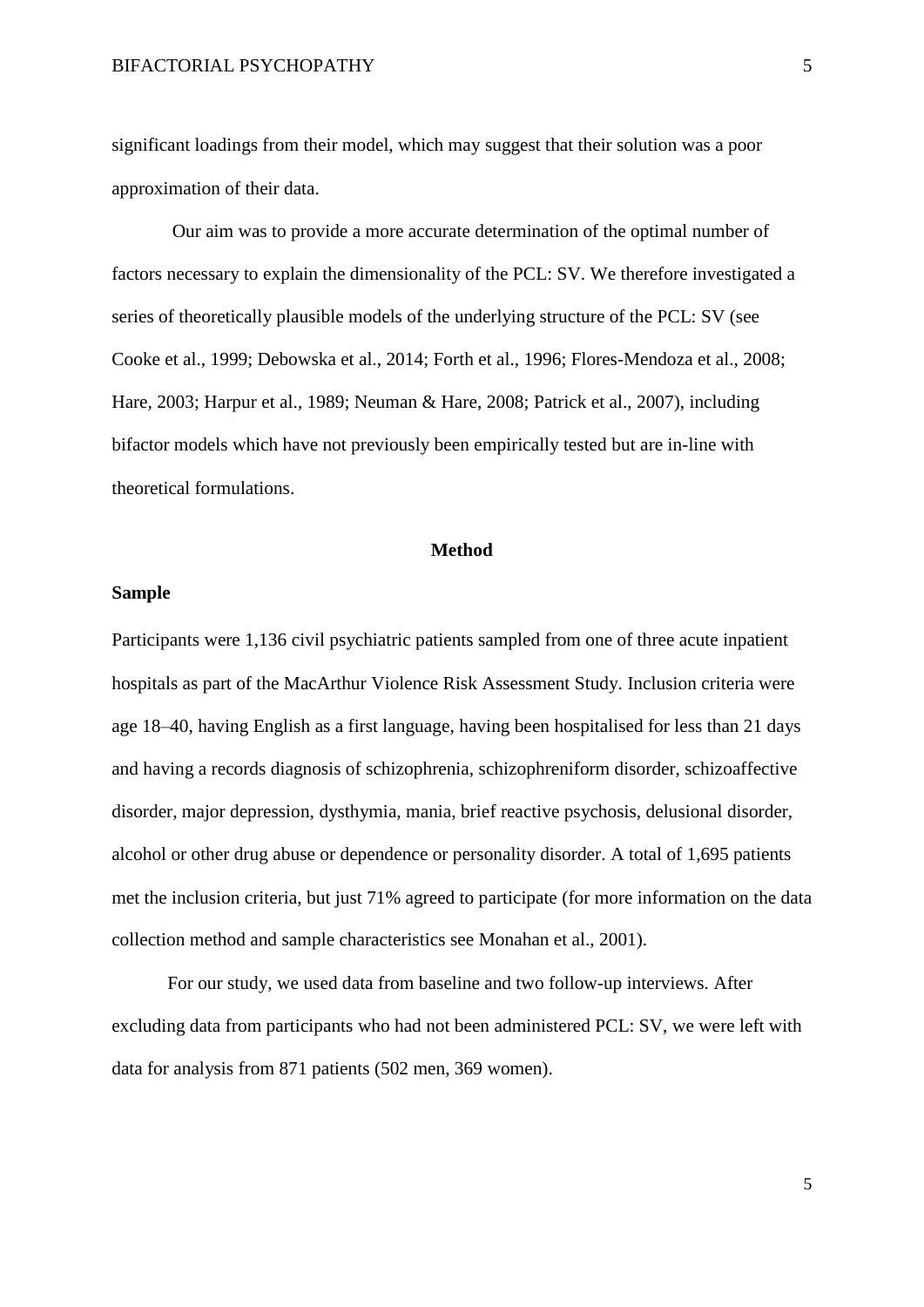significant loadings from their model, which may suggest that their solution was a poor approximation of their data.

Our aim was to provide a more accurate determination of the optimal number of factors necessary to explain the dimensionality of the PCL: SV. We therefore investigated a series of theoretically plausible models of the underlying structure of the PCL: SV (see Cooke et al., 1999; Debowska et al., 2014; Forth et al., 1996; Flores-Mendoza et al., 2008; Hare, 2003; Harpur et al., 1989; Neuman & Hare, 2008; Patrick et al., 2007), including bifactor models which have not previously been empirically tested but are in-line with theoretical formulations.

#### **Method**

#### **Sample**

Participants were 1,136 civil psychiatric patients sampled from one of three acute inpatient hospitals as part of the MacArthur Violence Risk Assessment Study. Inclusion criteria were age 18–40, having English as a first language, having been hospitalised for less than 21 days and having a records diagnosis of schizophrenia, schizophreniform disorder, schizoaffective disorder, major depression, dysthymia, mania, brief reactive psychosis, delusional disorder, alcohol or other drug abuse or dependence or personality disorder. A total of 1,695 patients met the inclusion criteria, but just 71% agreed to participate (for more information on the data collection method and sample characteristics see Monahan et al., 2001).

For our study, we used data from baseline and two follow-up interviews. After excluding data from participants who had not been administered PCL: SV, we were left with data for analysis from 871 patients (502 men, 369 women).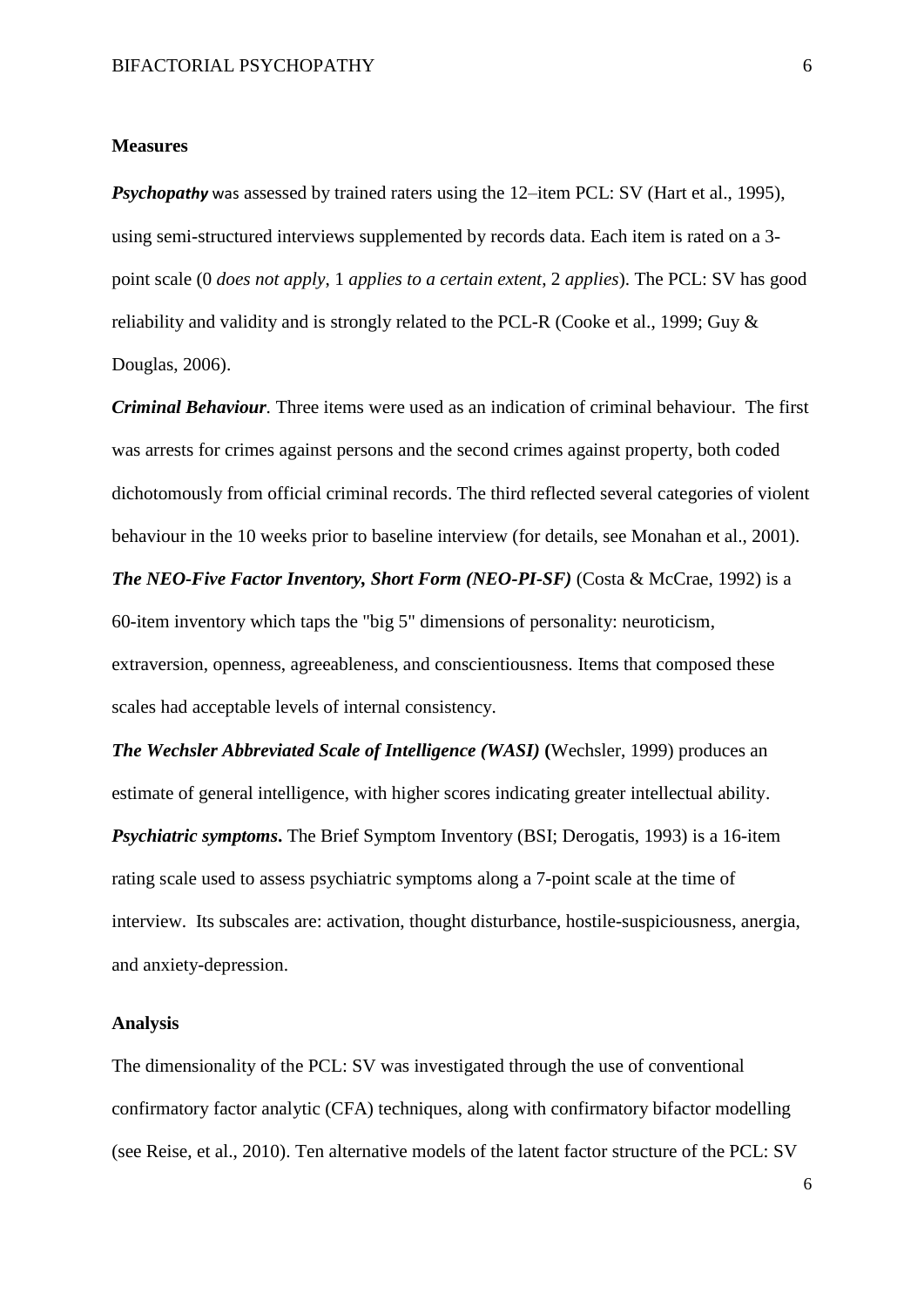#### **Measures**

*Psychopathy* was assessed by trained raters using the 12–item PCL: SV (Hart et al., 1995), using semi-structured interviews supplemented by records data. Each item is rated on a 3 point scale (0 *does not apply*, 1 *applies to a certain extent*, 2 *applies*). The PCL: SV has good reliability and validity and is strongly related to the PCL-R (Cooke et al., 1999; Guy & Douglas, 2006).

*Criminal Behaviour.* Three items were used as an indication of criminal behaviour. The first was arrests for crimes against persons and the second crimes against property, both coded dichotomously from official criminal records. The third reflected several categories of violent behaviour in the 10 weeks prior to baseline interview (for details, see Monahan et al., 2001).

*The NEO-Five Factor Inventory, Short Form (NEO-PI-SF)* (Costa & McCrae, 1992) is a 60-item inventory which taps the "big 5" dimensions of personality: neuroticism, extraversion, openness, agreeableness, and conscientiousness. Items that composed these scales had acceptable levels of internal consistency.

*The Wechsler Abbreviated Scale of Intelligence (WASI)* **(**Wechsler, 1999) produces an estimate of general intelligence, with higher scores indicating greater intellectual ability. *Psychiatric symptoms***.** The Brief Symptom Inventory (BSI; Derogatis, 1993) is a 16-item rating scale used to assess psychiatric symptoms along a 7-point scale at the time of interview. Its subscales are: activation, thought disturbance, hostile-suspiciousness, anergia, and anxiety-depression.

#### **Analysis**

The dimensionality of the PCL: SV was investigated through the use of conventional confirmatory factor analytic (CFA) techniques, along with confirmatory bifactor modelling (see Reise, et al., 2010). Ten alternative models of the latent factor structure of the PCL: SV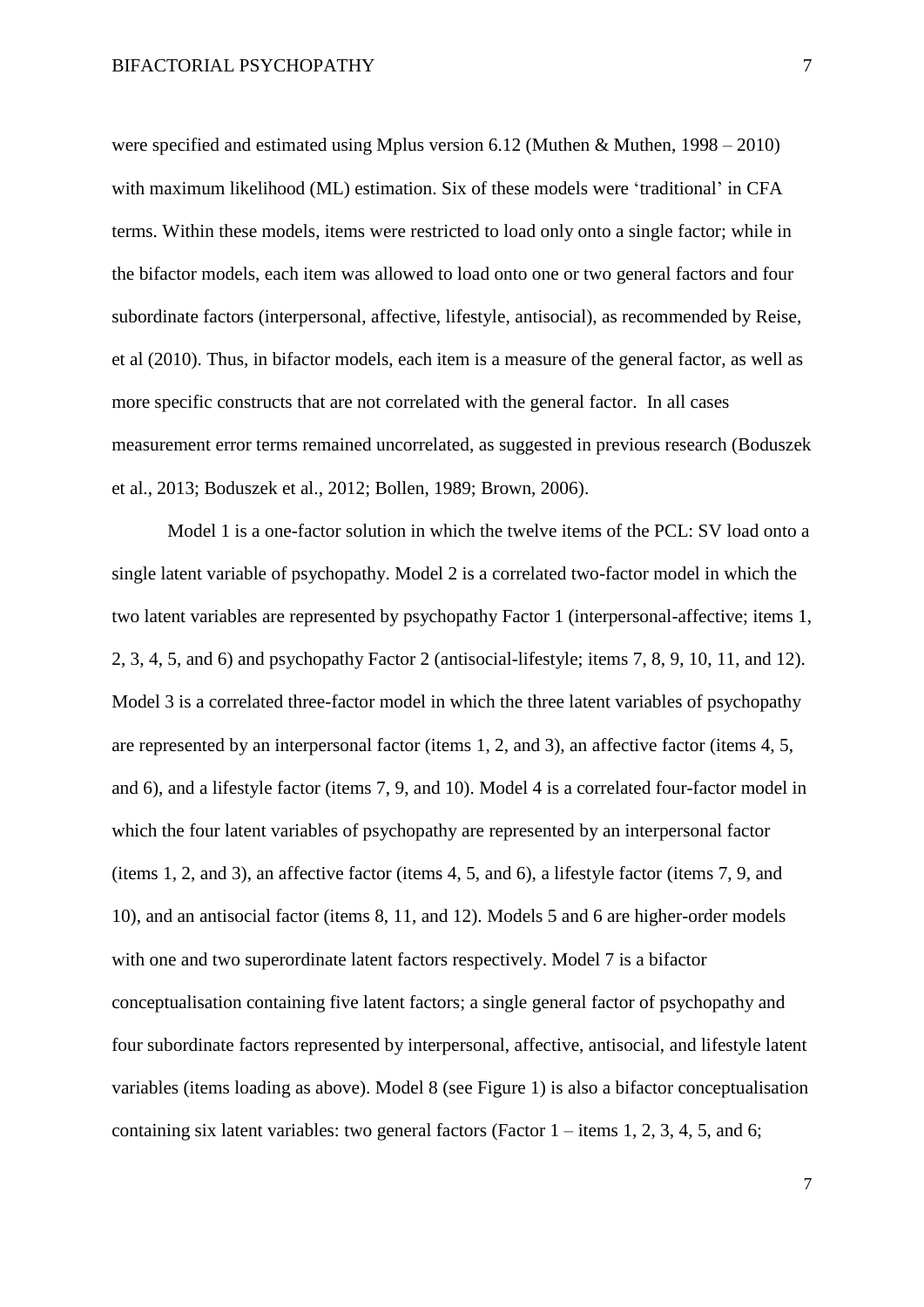were specified and estimated using Mplus version 6.12 (Muthen & Muthen, 1998 – 2010) with maximum likelihood (ML) estimation. Six of these models were 'traditional' in CFA terms. Within these models, items were restricted to load only onto a single factor; while in the bifactor models, each item was allowed to load onto one or two general factors and four subordinate factors (interpersonal, affective, lifestyle, antisocial), as recommended by Reise, et al (2010). Thus, in bifactor models, each item is a measure of the general factor, as well as more specific constructs that are not correlated with the general factor. In all cases measurement error terms remained uncorrelated, as suggested in previous research (Boduszek et al., 2013; Boduszek et al., 2012; Bollen, 1989; Brown, 2006).

Model 1 is a one-factor solution in which the twelve items of the PCL: SV load onto a single latent variable of psychopathy. Model 2 is a correlated two-factor model in which the two latent variables are represented by psychopathy Factor 1 (interpersonal-affective; items 1, 2, 3, 4, 5, and 6) and psychopathy Factor 2 (antisocial-lifestyle; items 7, 8, 9, 10, 11, and 12). Model 3 is a correlated three-factor model in which the three latent variables of psychopathy are represented by an interpersonal factor (items 1, 2, and 3), an affective factor (items 4, 5, and 6), and a lifestyle factor (items 7, 9, and 10). Model 4 is a correlated four-factor model in which the four latent variables of psychopathy are represented by an interpersonal factor (items 1, 2, and 3), an affective factor (items 4, 5, and 6), a lifestyle factor (items 7, 9, and 10), and an antisocial factor (items 8, 11, and 12). Models 5 and 6 are higher-order models with one and two superordinate latent factors respectively. Model 7 is a bifactor conceptualisation containing five latent factors; a single general factor of psychopathy and four subordinate factors represented by interpersonal, affective, antisocial, and lifestyle latent variables (items loading as above). Model 8 (see Figure 1) is also a bifactor conceptualisation containing six latent variables: two general factors (Factor  $1 -$ items 1, 2, 3, 4, 5, and 6;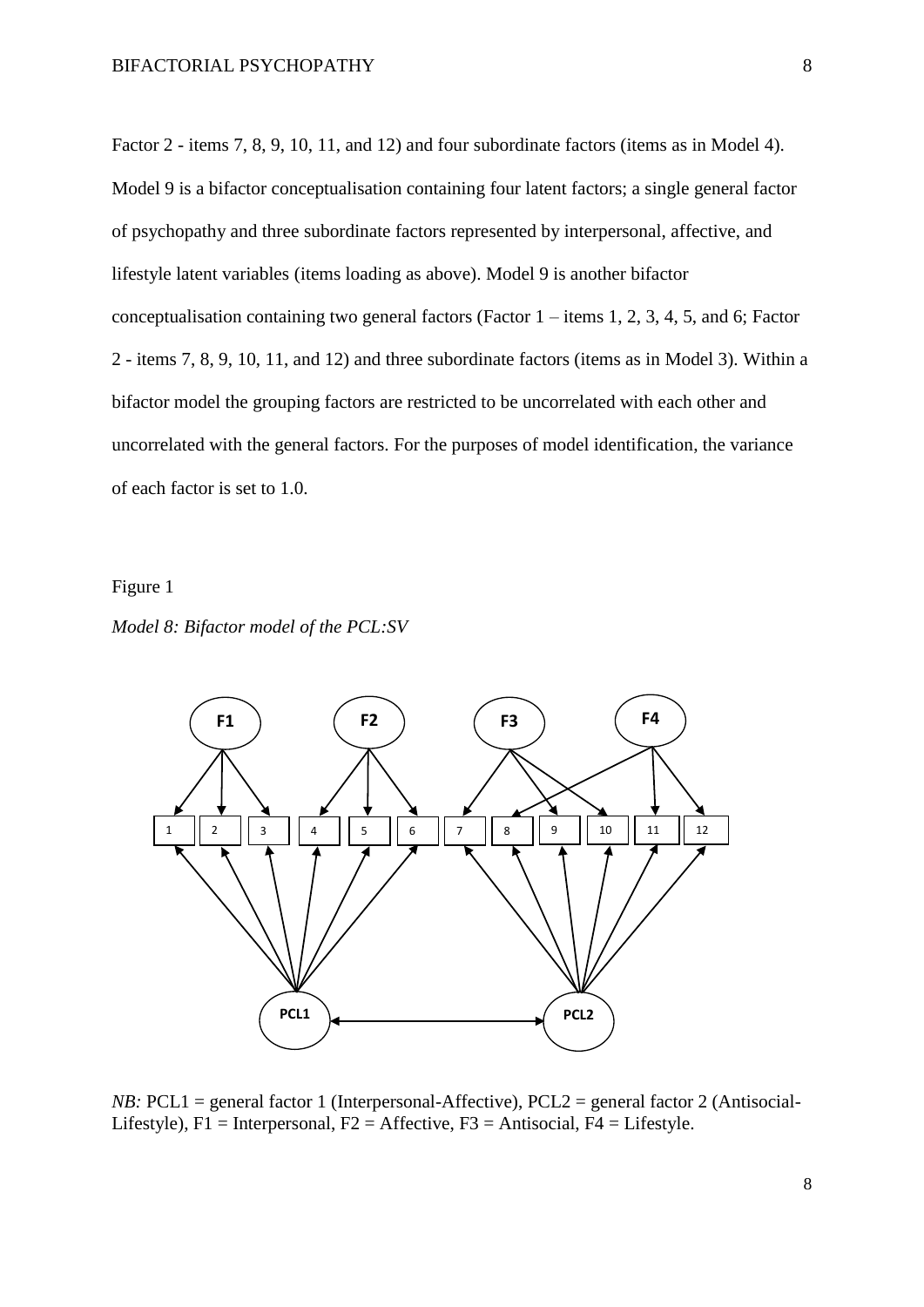Factor 2 - items 7, 8, 9, 10, 11, and 12) and four subordinate factors (items as in Model 4). Model 9 is a bifactor conceptualisation containing four latent factors; a single general factor of psychopathy and three subordinate factors represented by interpersonal, affective, and lifestyle latent variables (items loading as above). Model 9 is another bifactor conceptualisation containing two general factors (Factor  $1 -$ items 1, 2, 3, 4, 5, and 6; Factor 2 - items 7, 8, 9, 10, 11, and 12) and three subordinate factors (items as in Model 3). Within a bifactor model the grouping factors are restricted to be uncorrelated with each other and uncorrelated with the general factors. For the purposes of model identification, the variance of each factor is set to 1.0.

#### Figure 1





*NB*: PCL1 = general factor 1 (Interpersonal-Affective), PCL2 = general factor 2 (Antisocial-Lifestyle),  $F1 =$ Interpersonal,  $F2 =$ Affective,  $F3 =$ Antisocial,  $F4 =$ Lifestyle.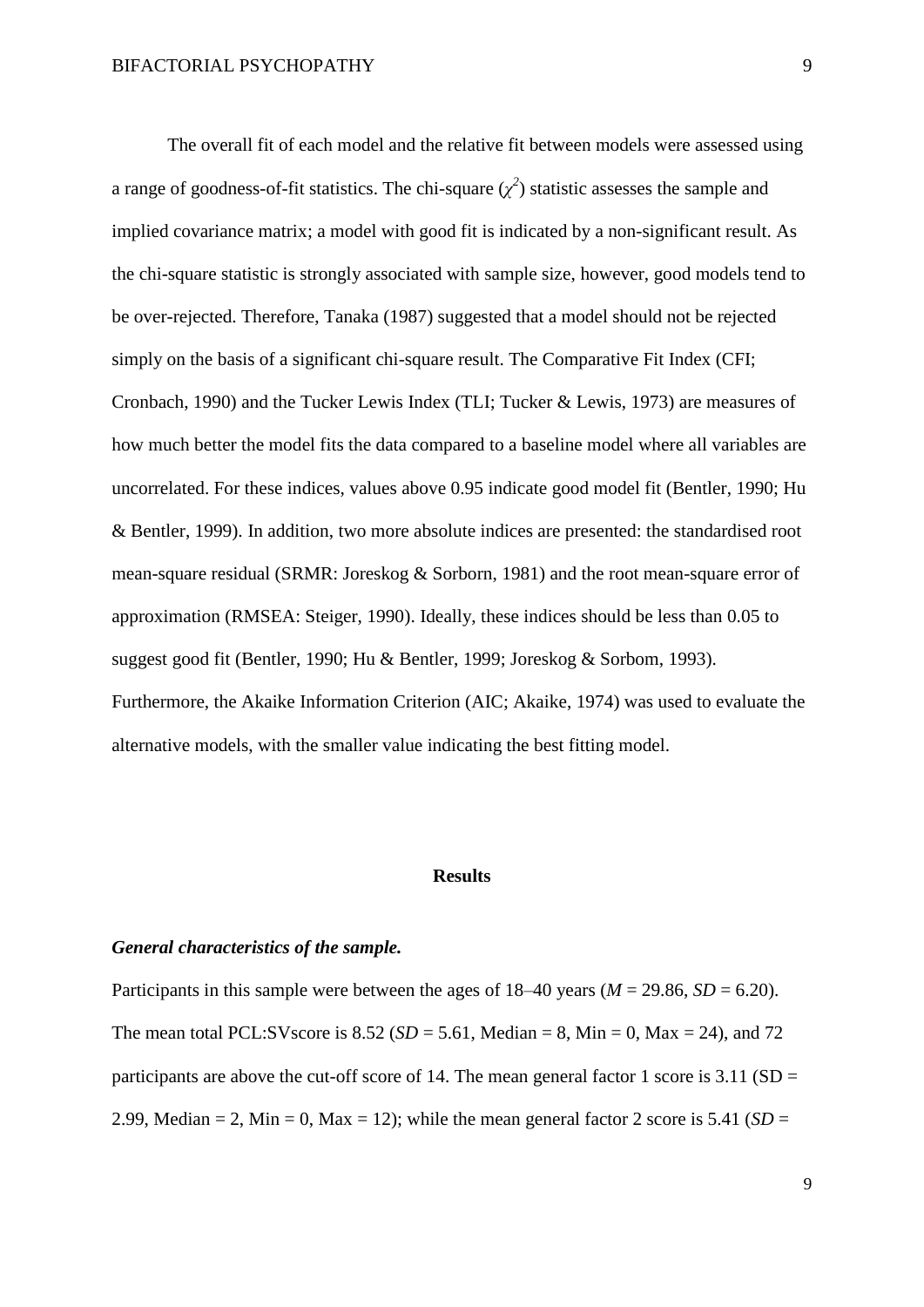The overall fit of each model and the relative fit between models were assessed using a range of goodness-of-fit statistics. The chi-square  $(\chi^2)$  statistic assesses the sample and implied covariance matrix; a model with good fit is indicated by a non-significant result. As the chi-square statistic is strongly associated with sample size, however, good models tend to be over-rejected. Therefore, Tanaka (1987) suggested that a model should not be rejected simply on the basis of a significant chi-square result. The Comparative Fit Index (CFI; Cronbach, 1990) and the Tucker Lewis Index (TLI; Tucker & Lewis, 1973) are measures of how much better the model fits the data compared to a baseline model where all variables are uncorrelated. For these indices, values above 0.95 indicate good model fit (Bentler, 1990; Hu & Bentler, 1999). In addition, two more absolute indices are presented: the standardised root mean-square residual (SRMR: Joreskog & Sorborn, 1981) and the root mean-square error of approximation (RMSEA: Steiger, 1990). Ideally, these indices should be less than 0.05 to suggest good fit (Bentler, 1990; Hu & Bentler, 1999; Joreskog & Sorbom, 1993). Furthermore, the Akaike Information Criterion (AIC; Akaike, 1974) was used to evaluate the alternative models, with the smaller value indicating the best fitting model.

### **Results**

#### *General characteristics of the sample.*

Participants in this sample were between the ages of  $18-40$  years ( $M = 29.86$ ,  $SD = 6.20$ ). The mean total PCL:SVscore is  $8.52$  (*SD* = 5.61, Median = 8, Min = 0, Max = 24), and 72 participants are above the cut-off score of 14. The mean general factor 1 score is  $3.11$  (SD = 2.99, Median  $= 2$ , Min  $= 0$ , Max  $= 12$ ); while the mean general factor 2 score is 5.41 (*SD*  $=$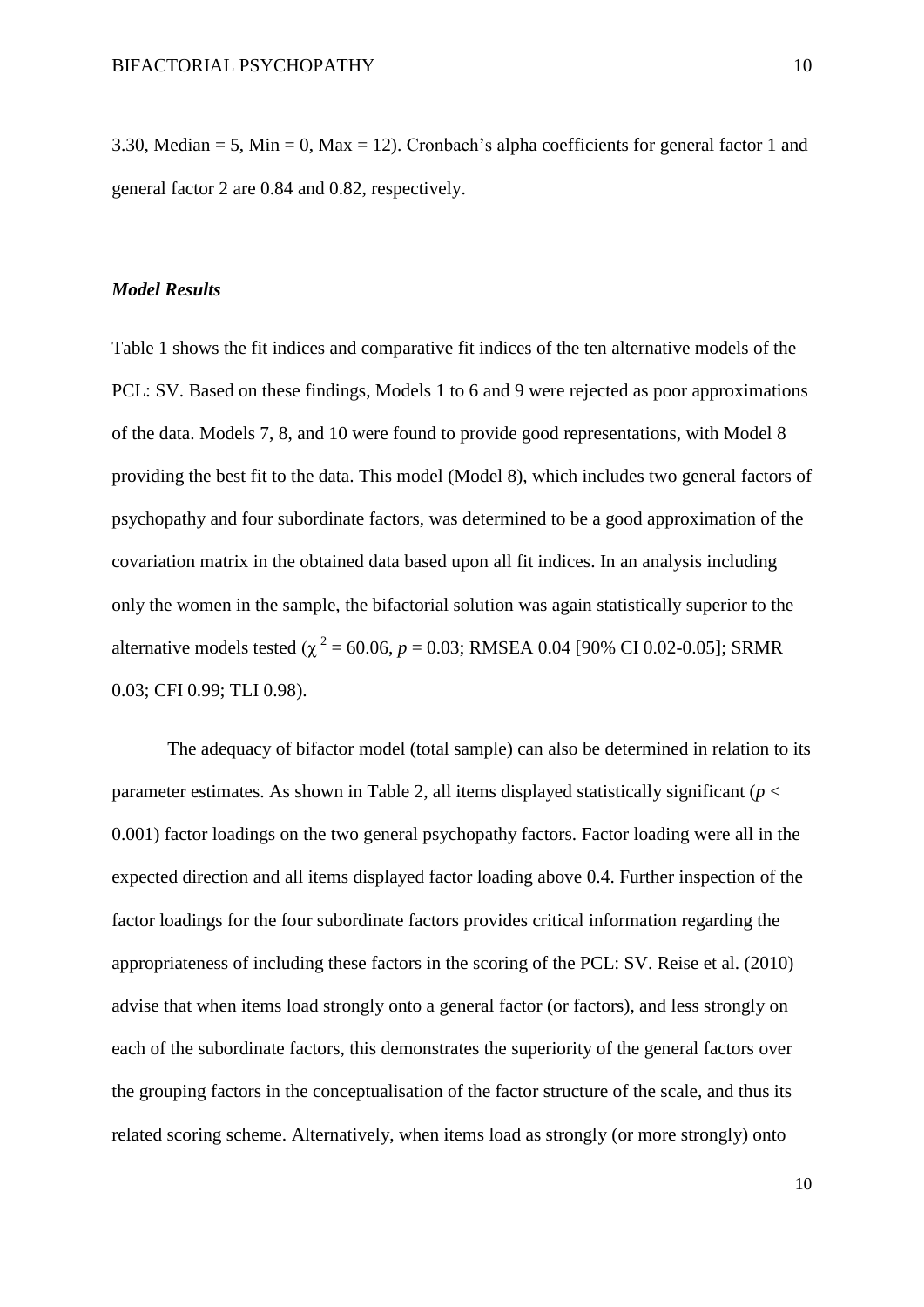3.30, Median = 5, Min = 0, Max = 12). Cronbach's alpha coefficients for general factor 1 and general factor 2 are 0.84 and 0.82, respectively.

#### *Model Results*

Table 1 shows the fit indices and comparative fit indices of the ten alternative models of the PCL: SV. Based on these findings, Models 1 to 6 and 9 were rejected as poor approximations of the data. Models 7, 8, and 10 were found to provide good representations, with Model 8 providing the best fit to the data. This model (Model 8), which includes two general factors of psychopathy and four subordinate factors, was determined to be a good approximation of the covariation matrix in the obtained data based upon all fit indices. In an analysis including only the women in the sample, the bifactorial solution was again statistically superior to the alternative models tested ( $\chi^2$  = 60.06, *p* = 0.03; RMSEA 0.04 [90% CI 0.02-0.05]; SRMR 0.03; CFI 0.99; TLI 0.98).

The adequacy of bifactor model (total sample) can also be determined in relation to its parameter estimates. As shown in Table 2, all items displayed statistically significant ( $p <$ 0.001) factor loadings on the two general psychopathy factors. Factor loading were all in the expected direction and all items displayed factor loading above 0.4. Further inspection of the factor loadings for the four subordinate factors provides critical information regarding the appropriateness of including these factors in the scoring of the PCL: SV. Reise et al. (2010) advise that when items load strongly onto a general factor (or factors), and less strongly on each of the subordinate factors, this demonstrates the superiority of the general factors over the grouping factors in the conceptualisation of the factor structure of the scale, and thus its related scoring scheme. Alternatively, when items load as strongly (or more strongly) onto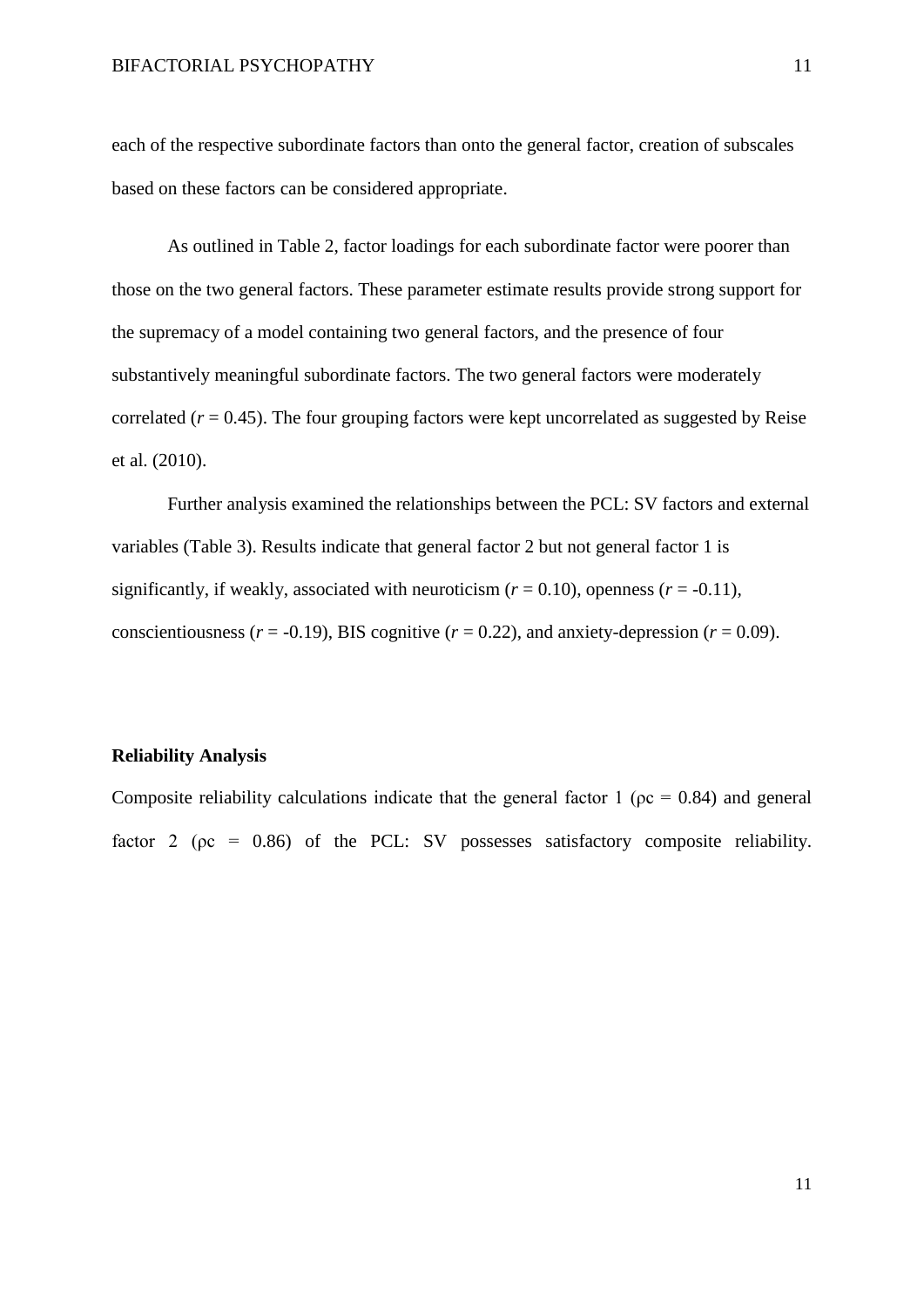each of the respective subordinate factors than onto the general factor, creation of subscales based on these factors can be considered appropriate.

As outlined in Table 2, factor loadings for each subordinate factor were poorer than those on the two general factors. These parameter estimate results provide strong support for the supremacy of a model containing two general factors, and the presence of four substantively meaningful subordinate factors. The two general factors were moderately correlated  $(r = 0.45)$ . The four grouping factors were kept uncorrelated as suggested by Reise et al. (2010).

Further analysis examined the relationships between the PCL: SV factors and external variables (Table 3). Results indicate that general factor 2 but not general factor 1 is significantly, if weakly, associated with neuroticism  $(r = 0.10)$ , openness  $(r = -0.11)$ , conscientiousness ( $r = -0.19$ ), BIS cognitive ( $r = 0.22$ ), and anxiety-depression ( $r = 0.09$ ).

#### **Reliability Analysis**

Composite reliability calculations indicate that the general factor 1 ( $pc = 0.84$ ) and general factor 2 ( $pc = 0.86$ ) of the PCL: SV possesses satisfactory composite reliability.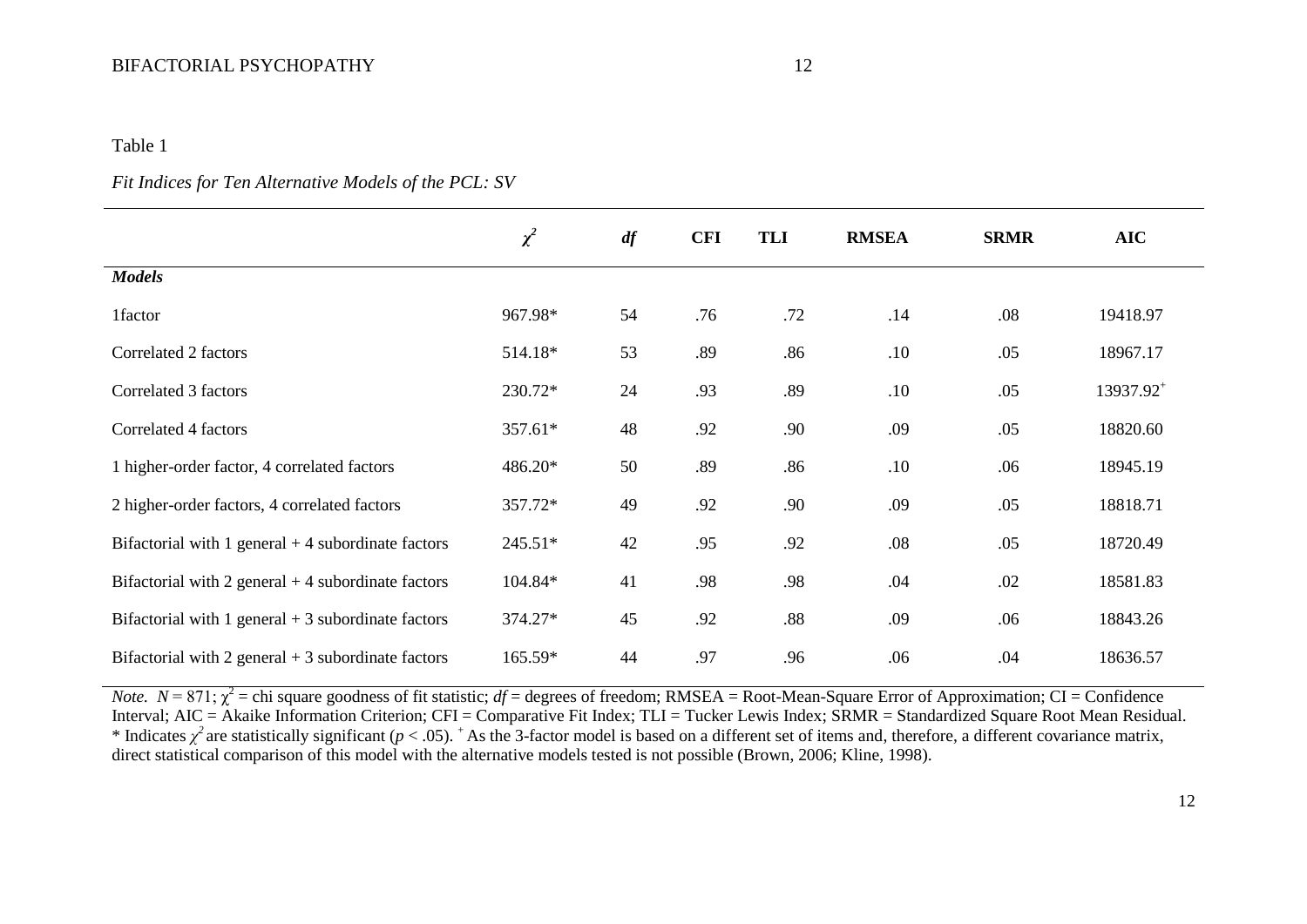## BIFACTORIAL PSYCHOPATHY 12

#### Table 1

## *Fit Indices for Ten Alternative Models of the PCL: SV*

|                                                     | $\chi^2$  | df | <b>CFI</b> | TLI | <b>RMSEA</b> | <b>SRMR</b> | <b>AIC</b>            |
|-----------------------------------------------------|-----------|----|------------|-----|--------------|-------------|-----------------------|
| <b>Models</b>                                       |           |    |            |     |              |             |                       |
| 1factor                                             | 967.98*   | 54 | .76        | .72 | .14          | .08         | 19418.97              |
| Correlated 2 factors                                | 514.18*   | 53 | .89        | .86 | .10          | .05         | 18967.17              |
| Correlated 3 factors                                | 230.72*   | 24 | .93        | .89 | .10          | .05         | 13937.92 <sup>+</sup> |
| Correlated 4 factors                                | 357.61*   | 48 | .92        | .90 | .09          | .05         | 18820.60              |
| 1 higher-order factor, 4 correlated factors         | 486.20*   | 50 | .89        | .86 | .10          | .06         | 18945.19              |
| 2 higher-order factors, 4 correlated factors        | 357.72*   | 49 | .92        | .90 | .09          | .05         | 18818.71              |
| Bifactorial with 1 general $+4$ subordinate factors | $245.51*$ | 42 | .95        | .92 | .08          | .05         | 18720.49              |
| Bifactorial with 2 general $+4$ subordinate factors | 104.84*   | 41 | .98        | .98 | .04          | .02         | 18581.83              |
| Bifactorial with 1 general $+3$ subordinate factors | 374.27*   | 45 | .92        | .88 | .09          | .06         | 18843.26              |
| Bifactorial with 2 general $+3$ subordinate factors | 165.59*   | 44 | .97        | .96 | .06          | .04         | 18636.57              |

*Note.*  $N = 871$ ;  $\chi^2$  = chi square goodness of fit statistic; *df* = degrees of freedom; RMSEA = Root-Mean-Square Error of Approximation; CI = Confidence Interval; AIC = Akaike Information Criterion; CFI = Comparative Fit Index; TLI = Tucker Lewis Index; SRMR = Standardized Square Root Mean Residual. \* Indicates  $\chi^2$  are statistically significant ( $p < .05$ ). <sup>+</sup>As the 3-factor model is based on a different set of items and, therefore, a different covariance matrix, direct statistical comparison of this model with the alternative models tested is not possible (Brown, 2006; Kline, 1998).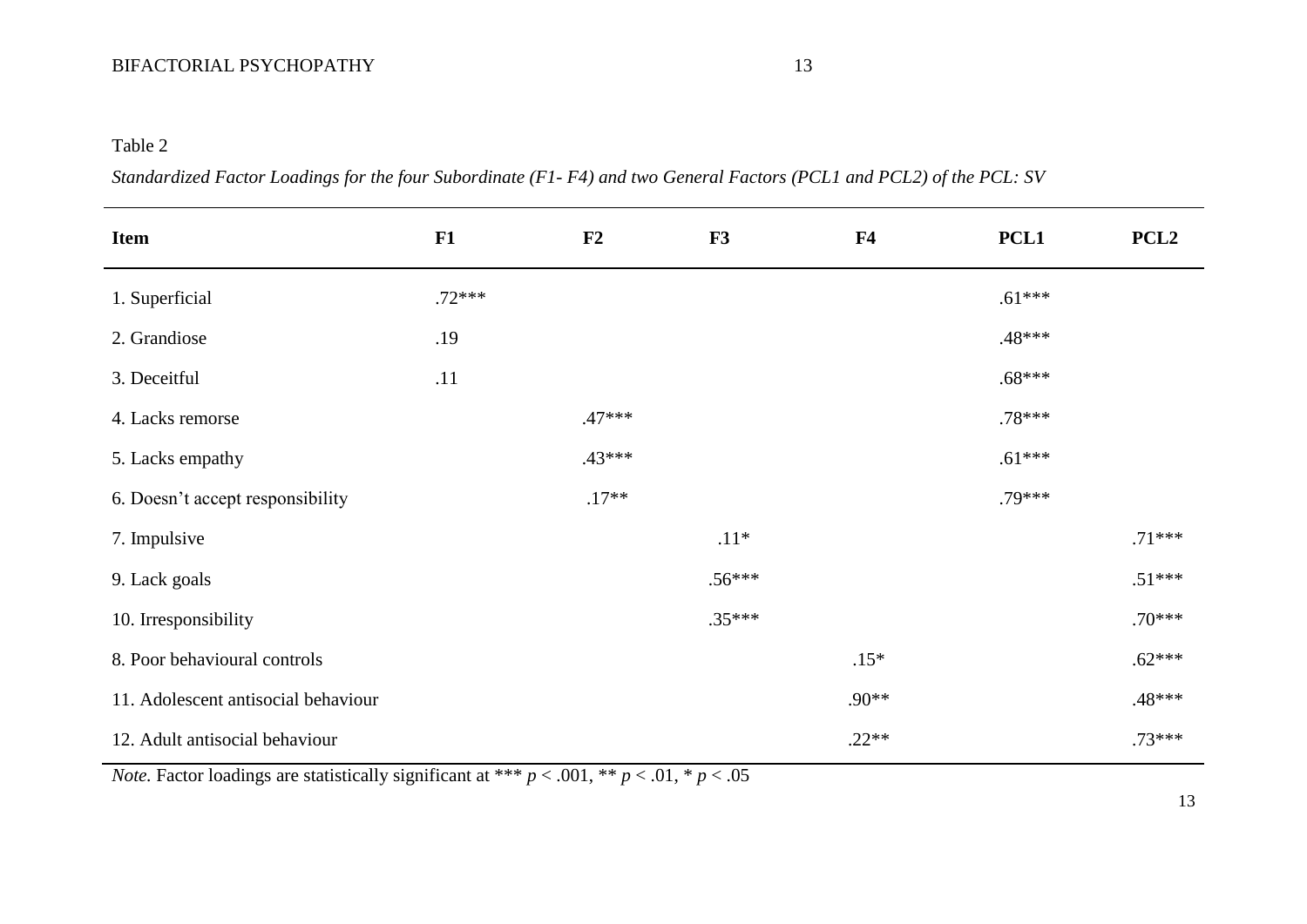## Table 2

|  | Standardized Factor Loadings for the four Subordinate (F1-F4) and two General Factors (PCL1 and PCL2) of the PCL: SV |
|--|----------------------------------------------------------------------------------------------------------------------|
|  |                                                                                                                      |

| <b>Item</b>                         | F1       | F2       | F3       | ${\bf F4}$ | PCL <sub>1</sub> | PCL <sub>2</sub> |
|-------------------------------------|----------|----------|----------|------------|------------------|------------------|
| 1. Superficial                      | $.72***$ |          |          |            | $.61***$         |                  |
| 2. Grandiose                        | .19      |          |          |            | .48***           |                  |
| 3. Deceitful                        | .11      |          |          |            | $.68***$         |                  |
| 4. Lacks remorse                    |          | $.47***$ |          |            | $.78***$         |                  |
| 5. Lacks empathy                    |          | $.43***$ |          |            | $.61***$         |                  |
| 6. Doesn't accept responsibility    |          | $.17**$  |          |            | $.79***$         |                  |
| 7. Impulsive                        |          |          | $.11*$   |            |                  | $.71***$         |
| 9. Lack goals                       |          |          | $.56***$ |            |                  | $.51***$         |
| 10. Irresponsibility                |          |          | $.35***$ |            |                  | $.70***$         |
| 8. Poor behavioural controls        |          |          |          | $.15*$     |                  | $.62***$         |
| 11. Adolescent antisocial behaviour |          |          |          | $.90**$    |                  | $.48***$         |
| 12. Adult antisocial behaviour      |          |          |          | $.22**$    |                  | $.73***$         |

*Note.* Factor loadings are statistically significant at \*\*\*  $p < .001$ , \*\*  $p < .01$ , \*  $p < .05$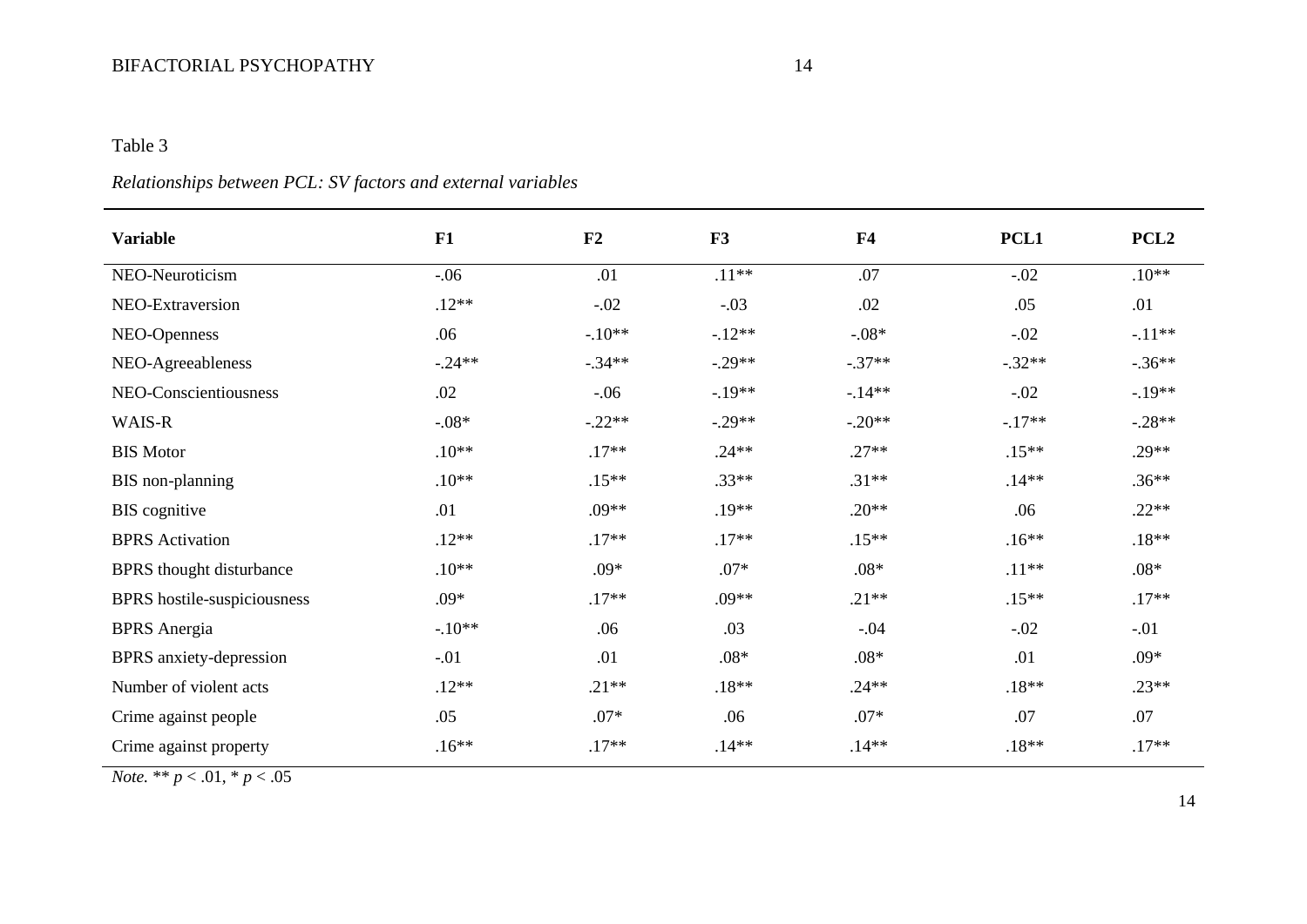## BIFACTORIAL PSYCHOPATHY 14

## Table 3

# *Relationships between PCL: SV factors and external variables*

| <b>Variable</b>                 | F1       | F2       | F3       | F <sub>4</sub> | PCL1     | PCL <sub>2</sub> |
|---------------------------------|----------|----------|----------|----------------|----------|------------------|
| NEO-Neuroticism                 | $-0.06$  | .01      | $.11***$ | .07            | $-.02$   | $.10**$          |
| NEO-Extraversion                | $.12**$  | $-.02$   | $-.03$   | .02            | .05      | .01              |
| NEO-Openness                    | .06      | $-.10**$ | $-12**$  | $-.08*$        | $-.02$   | $-11**$          |
| NEO-Agreeableness               | $-.24**$ | $-.34**$ | $-.29**$ | $-.37**$       | $-.32**$ | $-.36**$         |
| NEO-Conscientiousness           | .02      | $-.06$   | $-.19**$ | $-14**$        | $-.02$   | $-19**$          |
| WAIS-R                          | $-0.08*$ | $-.22**$ | $-.29**$ | $-.20**$       | $-.17**$ | $-.28**$         |
| <b>BIS Motor</b>                | $.10**$  | $.17**$  | $.24**$  | $.27**$        | $.15**$  | $.29**$          |
| BIS non-planning                | $.10**$  | $.15**$  | $.33**$  | $.31**$        | $.14**$  | $.36**$          |
| <b>BIS</b> cognitive            | .01      | $.09**$  | $.19**$  | $.20**$        | .06      | $.22**$          |
| <b>BPRS</b> Activation          | $.12**$  | $.17**$  | $.17**$  | $.15***$       | $.16**$  | $.18**$          |
| <b>BPRS</b> thought disturbance | $.10**$  | $.09*$   | $.07*$   | $.08*$         | $.11**$  | $.08*$           |
| BPRS hostile-suspiciousness     | $.09*$   | $.17**$  | $.09**$  | $.21**$        | $.15**$  | $.17**$          |
| <b>BPRS</b> Anergia             | $-10**$  | .06      | .03      | $-.04$         | $-.02$   | $-.01$           |
| BPRS anxiety-depression         | $-.01$   | .01      | $.08*$   | $.08*$         | .01      | $.09*$           |
| Number of violent acts          | $.12**$  | $.21**$  | $.18**$  | $.24**$        | $.18**$  | $.23**$          |
| Crime against people            | .05      | $.07*$   | .06      | $.07*$         | .07      | .07              |
| Crime against property          | $.16**$  | $.17**$  | $.14**$  | $.14**$        | $.18**$  | $.17**$          |

*Note.* \*\*  $p < .01$ , \*  $p < .05$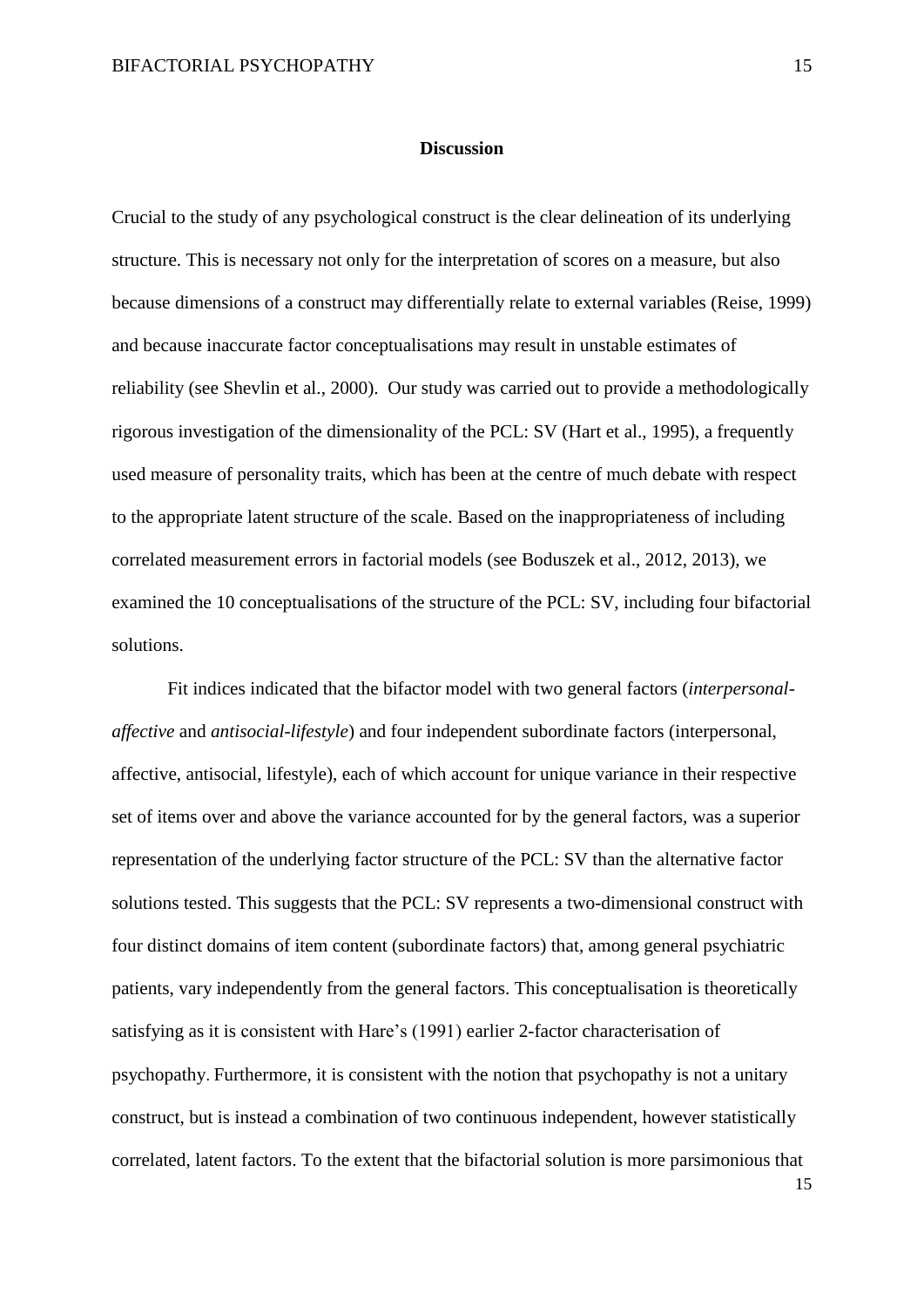#### **Discussion**

Crucial to the study of any psychological construct is the clear delineation of its underlying structure. This is necessary not only for the interpretation of scores on a measure, but also because dimensions of a construct may differentially relate to external variables (Reise, 1999) and because inaccurate factor conceptualisations may result in unstable estimates of reliability (see Shevlin et al., 2000). Our study was carried out to provide a methodologically rigorous investigation of the dimensionality of the PCL: SV (Hart et al., 1995), a frequently used measure of personality traits, which has been at the centre of much debate with respect to the appropriate latent structure of the scale. Based on the inappropriateness of including correlated measurement errors in factorial models (see Boduszek et al., 2012, 2013), we examined the 10 conceptualisations of the structure of the PCL: SV, including four bifactorial solutions.

Fit indices indicated that the bifactor model with two general factors (*interpersonalaffective* and *antisocial-lifestyle*) and four independent subordinate factors (interpersonal, affective, antisocial, lifestyle), each of which account for unique variance in their respective set of items over and above the variance accounted for by the general factors, was a superior representation of the underlying factor structure of the PCL: SV than the alternative factor solutions tested. This suggests that the PCL: SV represents a two-dimensional construct with four distinct domains of item content (subordinate factors) that, among general psychiatric patients, vary independently from the general factors. This conceptualisation is theoretically satisfying as it is consistent with Hare's (1991) earlier 2-factor characterisation of psychopathy. Furthermore, it is consistent with the notion that psychopathy is not a unitary construct, but is instead a combination of two continuous independent, however statistically correlated, latent factors. To the extent that the bifactorial solution is more parsimonious that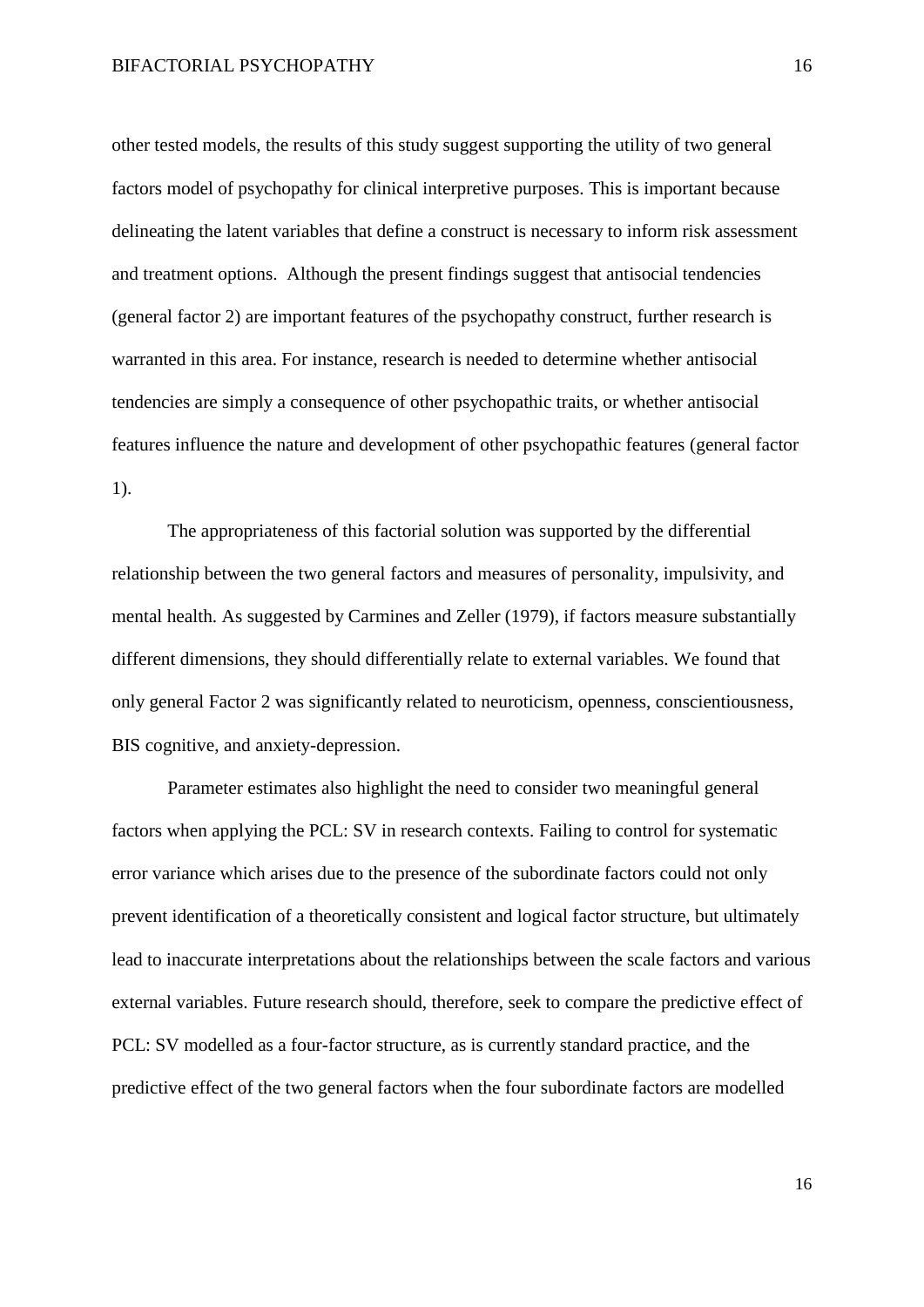other tested models, the results of this study suggest supporting the utility of two general factors model of psychopathy for clinical interpretive purposes. This is important because delineating the latent variables that define a construct is necessary to inform risk assessment and treatment options. Although the present findings suggest that antisocial tendencies (general factor 2) are important features of the psychopathy construct, further research is warranted in this area. For instance, research is needed to determine whether antisocial tendencies are simply a consequence of other psychopathic traits, or whether antisocial features influence the nature and development of other psychopathic features (general factor 1).

The appropriateness of this factorial solution was supported by the differential relationship between the two general factors and measures of personality, impulsivity, and mental health. As suggested by Carmines and Zeller (1979), if factors measure substantially different dimensions, they should differentially relate to external variables. We found that only general Factor 2 was significantly related to neuroticism, openness, conscientiousness, BIS cognitive, and anxiety-depression.

Parameter estimates also highlight the need to consider two meaningful general factors when applying the PCL: SV in research contexts. Failing to control for systematic error variance which arises due to the presence of the subordinate factors could not only prevent identification of a theoretically consistent and logical factor structure, but ultimately lead to inaccurate interpretations about the relationships between the scale factors and various external variables. Future research should, therefore, seek to compare the predictive effect of PCL: SV modelled as a four-factor structure, as is currently standard practice, and the predictive effect of the two general factors when the four subordinate factors are modelled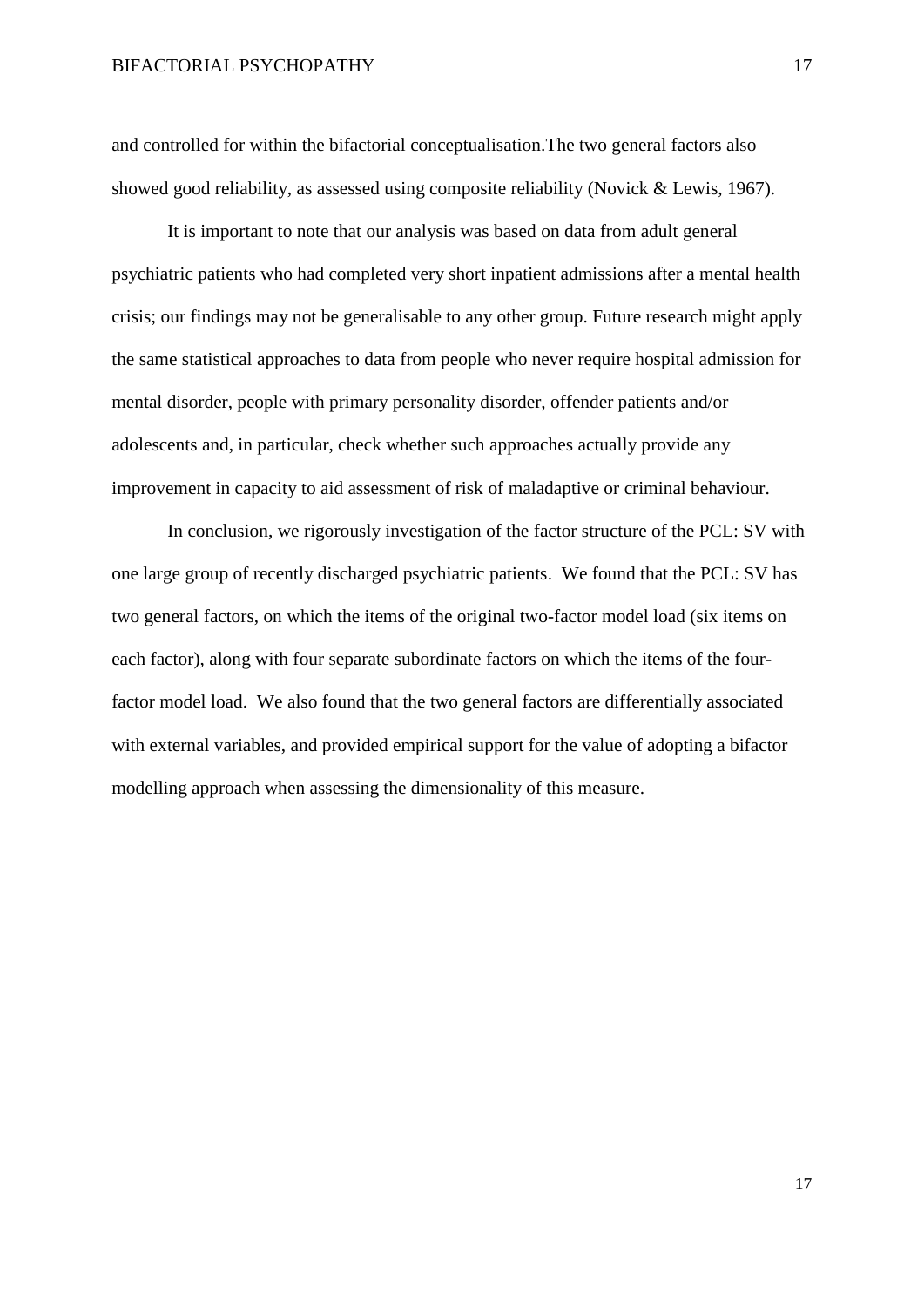and controlled for within the bifactorial conceptualisation.The two general factors also showed good reliability, as assessed using composite reliability (Novick & Lewis, 1967).

It is important to note that our analysis was based on data from adult general psychiatric patients who had completed very short inpatient admissions after a mental health crisis; our findings may not be generalisable to any other group. Future research might apply the same statistical approaches to data from people who never require hospital admission for mental disorder, people with primary personality disorder, offender patients and/or adolescents and, in particular, check whether such approaches actually provide any improvement in capacity to aid assessment of risk of maladaptive or criminal behaviour.

In conclusion, we rigorously investigation of the factor structure of the PCL: SV with one large group of recently discharged psychiatric patients. We found that the PCL: SV has two general factors, on which the items of the original two-factor model load (six items on each factor), along with four separate subordinate factors on which the items of the fourfactor model load. We also found that the two general factors are differentially associated with external variables, and provided empirical support for the value of adopting a bifactor modelling approach when assessing the dimensionality of this measure.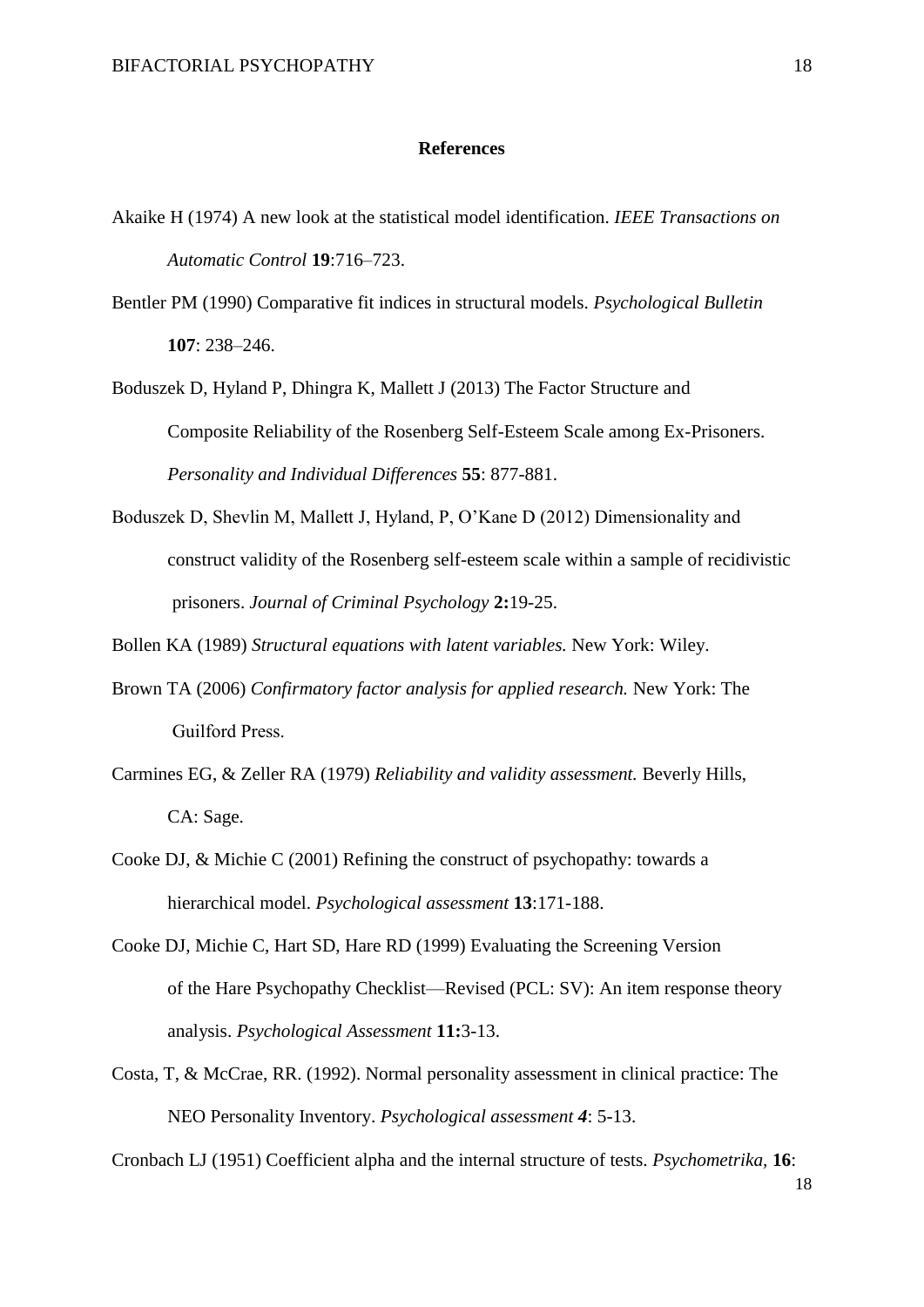#### **References**

- Akaike H (1974) A new look at the statistical model identification. *IEEE Transactions on Automatic Control* **19**:716–723.
- Bentler PM (1990) Comparative fit indices in structural models. *Psychological Bulletin* **107**: 238–246.
- Boduszek D, Hyland P, Dhingra K, Mallett J (2013) The Factor Structure and Composite Reliability of the Rosenberg Self-Esteem Scale among Ex-Prisoners. *Personality and Individual Differences* **55**: 877-881.
- Boduszek D, Shevlin M, Mallett J, Hyland, P, O'Kane D (2012) Dimensionality and construct validity of the Rosenberg self-esteem scale within a sample of recidivistic prisoners. *Journal of Criminal Psychology* **2:**19-25.
- Bollen KA (1989) *Structural equations with latent variables.* New York: Wiley.
- Brown TA (2006) *Confirmatory factor analysis for applied research.* New York: The Guilfоrd Press.
- Carmines EG, & Zeller RA (1979) *Reliability and validity assessment.* Beverly Hills, CA: Sage.
- Cooke DJ, & Michie C (2001) Refining the construct of psychopathy: towards a hierarchical model. *Psychological assessment* **13**:171-188.
- Cooke DJ, Michie C, Hart SD, Hare RD (1999) Evaluating the Screening Version of the Hare Psychopathy Checklist—Revised (PCL: SV): An item response theory analysis. *Psychological Assessment* **11:**3-13.
- Costa, T, & McCrae, RR. (1992). Normal personality assessment in clinical practice: The NEO Personality Inventory. *Psychological assessment 4*: 5-13.

Cronbach LJ (1951) Coefficient alpha and the internal structure of tests. *Psychometrika,* **16**: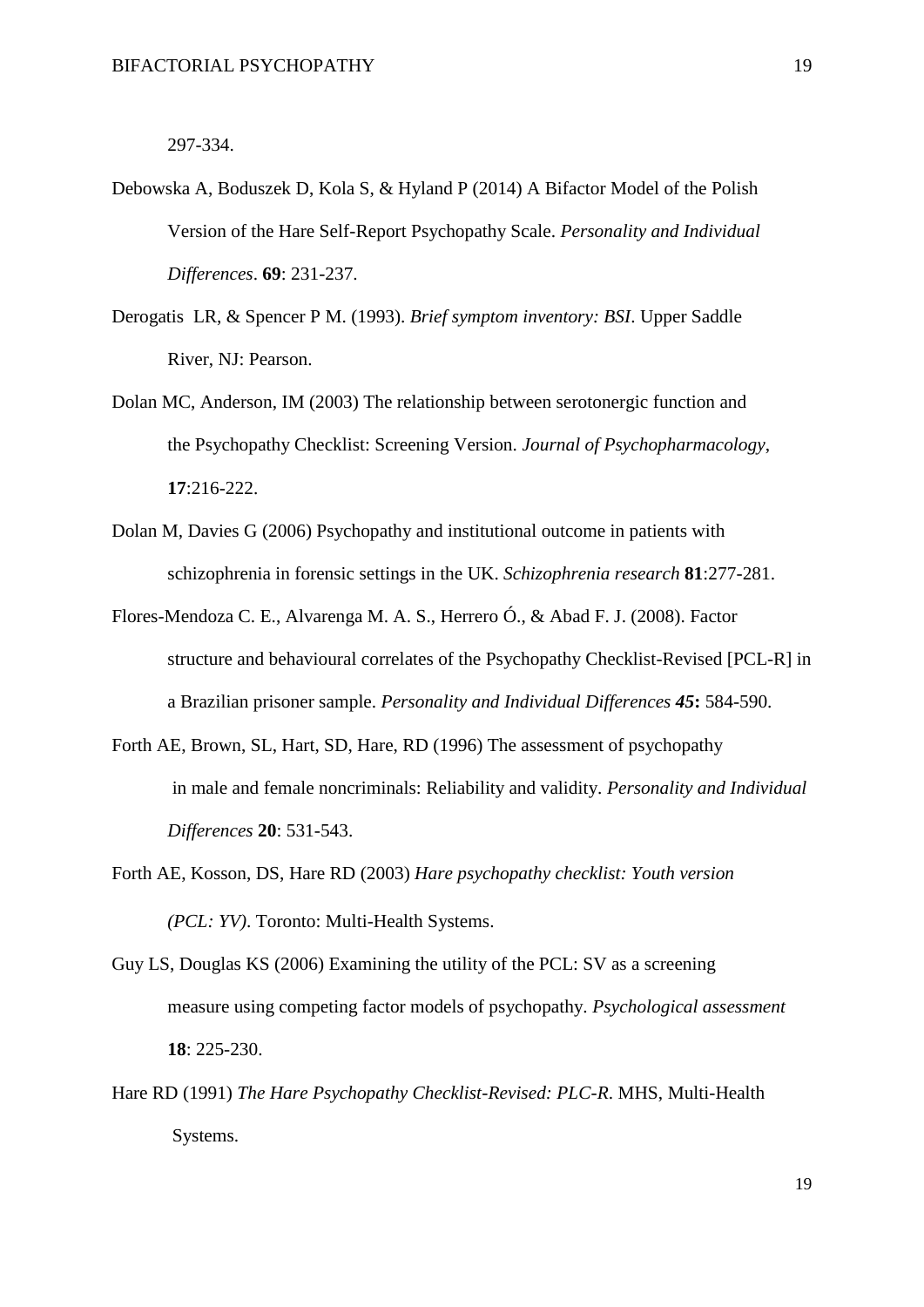297-334.

- Debowska A, Boduszek D, Kola S, & Hyland P (2014) A Bifactor Model of the Polish Version of the Hare Self-Report Psychopathy Scale. *Personality and Individual Differences*. **69**: 231-237.
- Derogatis LR, & Spencer P M. (1993). *Brief symptom inventory: BSI*. Upper Saddle River, NJ: Pearson.
- Dolan MC, Anderson, IM (2003) The relationship between serotonergic function and the Psychopathy Checklist: Screening Version. *Journal of Psychopharmacology*, **17**:216-222.
- Dolan M, Davies G (2006) Psychopathy and institutional outcome in patients with schizophrenia in forensic settings in the UK. *Schizophrenia research* **81**:277-281.
- Flores-Mendoza C. E., Alvarenga M. A. S., Herrero Ó., & Abad F. J. (2008). Factor structure and behavioural correlates of the Psychopathy Checklist-Revised [PCL-R] in a Brazilian prisoner sample. *Personality and Individual Differences 45***:** 584-590.
- Forth AE, Brown, SL, Hart, SD, Hare, RD (1996) The assessment of psychopathy in male and female noncriminals: Reliability and validity. *Personality and Individual Differences* **20**: 531-543.
- Forth AE, Kosson, DS, Hare RD (2003) *Hare psychopathy checklist: Youth version (PCL: YV)*. Toronto: Multi-Health Systems.
- Guy LS, Douglas KS (2006) Examining the utility of the PCL: SV as a screening measure using competing factor models of psychopathy. *Psychological assessment* **18**: 225-230.
- Hare RD (1991) *The Hare Psychopathy Checklist-Revised: PLC-R*. MHS, Multi-Health Systems.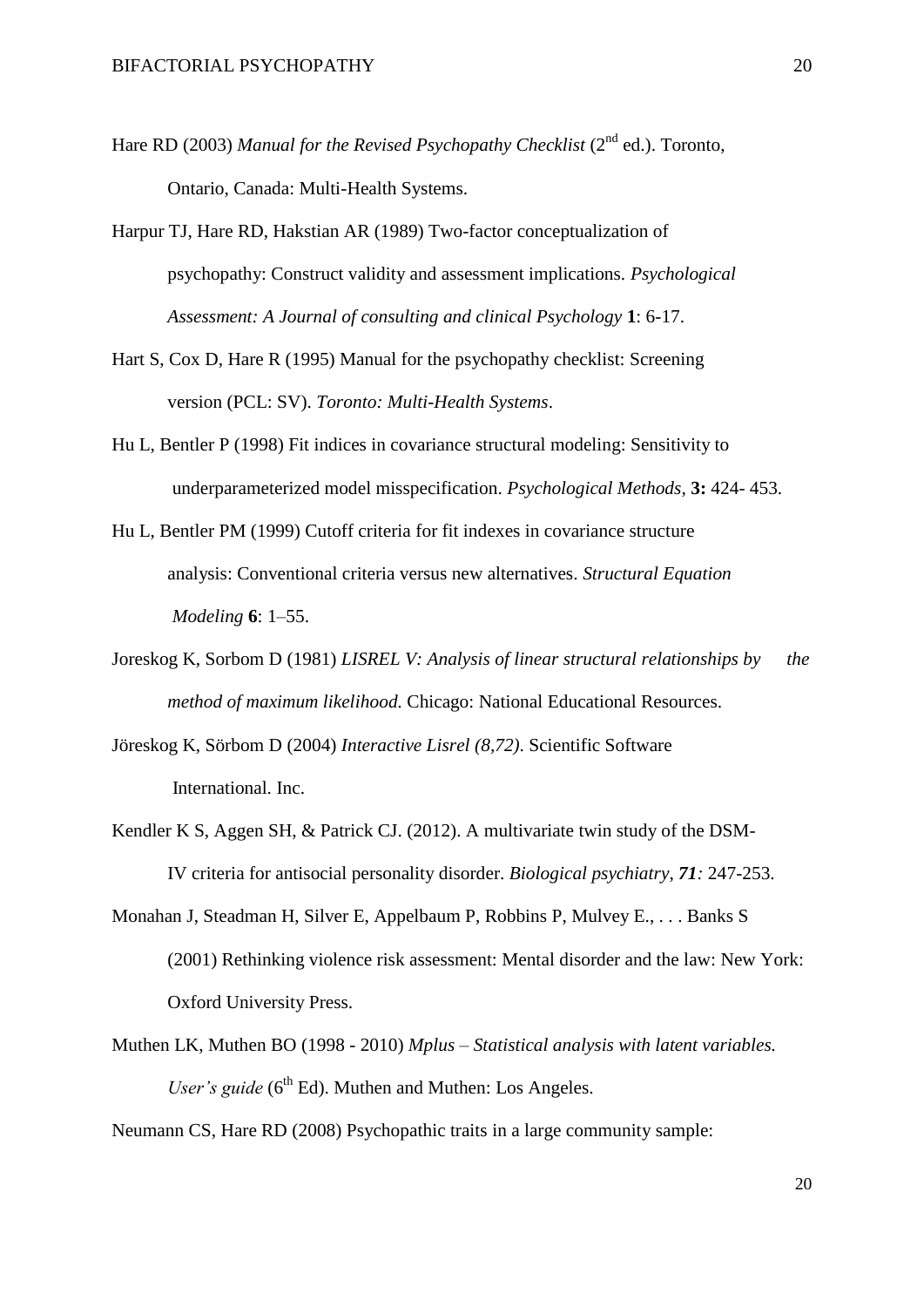- Hare RD (2003) *Manual for the Revised Psychopathy Checklist* (2<sup>nd</sup> ed.). Toronto, Ontario, Canada: Multi-Health Systems.
- Harpur TJ, Hare RD, Hakstian AR (1989) Two-factor conceptualization of psychopathy: Construct validity and assessment implications. *Psychological Assessment: A Journal of consulting and clinical Psychology* **1**: 6-17.
- Hart S, Cox D, Hare R (1995) Manual for the psychopathy checklist: Screening version (PCL: SV). *Toronto: Multi-Health Systems*.
- Hu L, Bentler P (1998) Fit indices in covariance structural modeling: Sensitivity to underparameterized model misspecification. *Psychological Methods,* **3:** 424- 453.
- Hu L, Bentler PM (1999) Cutoff criteria for fit indexes in covariance structure analysis: Conventional criteria versus new alternatives. *Structural Equation Modeling* **6**: 1–55.
- Joreskog K, Sorbom D (1981) *LISREL V: Analysis of linear structural relationships by the method of maximum likelihood.* Chicago: National Educational Resources.
- Jöreskog K, Sörbom D (2004) *Interactive Lisrel (8,72)*. Scientific Software International. Inc.
- Kendler K S, Aggen SH, & Patrick CJ. (2012). A multivariate twin study of the DSM-IV criteria for antisocial personality disorder. *Biological psychiatry*, *71:* 247-253.
- Monahan J, Steadman H, Silver E, Appelbaum P, Robbins P, Mulvey E., . . . Banks S (2001) Rethinking violence risk assessment: Mental disorder and the law: New York: Oxford University Press.
- Muthen LK, Muthen BO (1998 2010) *Mplus – Statistical analysis with latent variables. User's guide* (6<sup>th</sup> Ed). Muthen and Muthen: Los Angeles.

Neumann CS, Hare RD (2008) Psychopathic traits in a large community sample: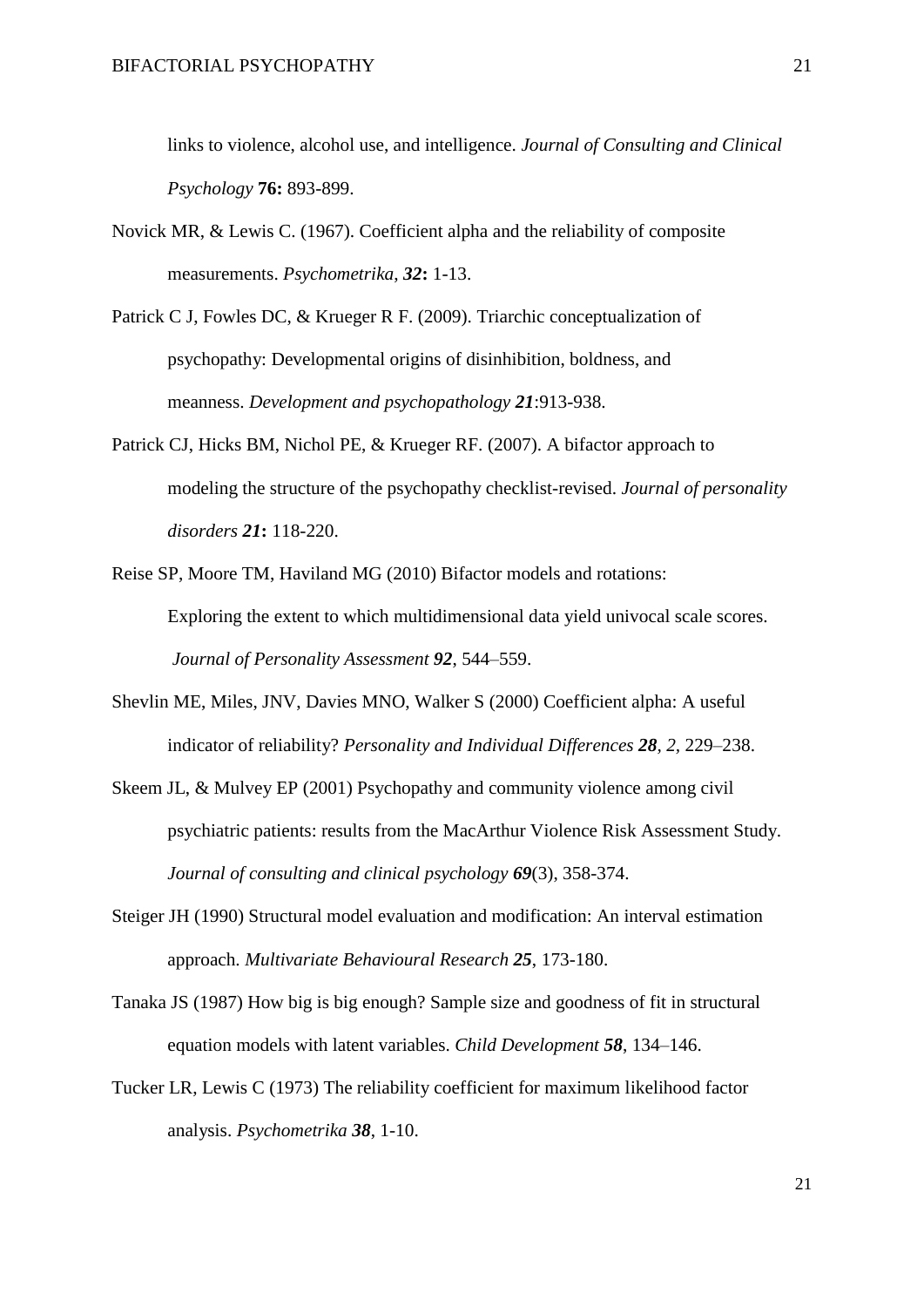links to violence, alcohol use, and intelligence. *Journal of Consulting and Clinical Psychology* **76:** 893-899.

- Novick MR, & Lewis C. (1967). Coefficient alpha and the reliability of composite measurements. *Psychometrika*, *32***:** 1-13.
- Patrick C J, Fowles DC, & Krueger R F. (2009). Triarchic conceptualization of psychopathy: Developmental origins of disinhibition, boldness, and meanness. *Development and psychopathology 21*:913-938.
- Patrick CJ, Hicks BM, Nichol PE, & Krueger RF. (2007). A bifactor approach to modeling the structure of the psychopathy checklist-revised. *Journal of personality disorders 21***:** 118-220.
- Reise SP, Moore TM, Haviland MG (2010) Bifactor models and rotations: Exploring the extent to which multidimensional data yield univocal scale scores. *Journal of Personality Assessment 92*, 544–559.
- Shevlin ME, Miles, JNV, Davies MNO, Walker S (2000) Coefficient alpha: A useful indicator of reliability? *Personality and Individual Differences 28, 2,* 229–238.
- Skeem JL, & Mulvey EP (2001) Psychopathy and community violence among civil psychiatric patients: results from the MacArthur Violence Risk Assessment Study. *Journal of consulting and clinical psychology 69*(3), 358-374.
- Steiger JH (1990) Structural model evaluation and modification: An interval estimation approach. *Multivariate Behavioural Research 25*, 173-180.
- Tanaka JS (1987) How big is big enough? Sample size and goodness of fit in structural equation models with latent variables. *Child Development 58*, 134–146.
- Tucker LR, Lewis C (1973) The reliability coefficient for maximum likelihood factor analysis. *Psychometrika 38*, 1-10.